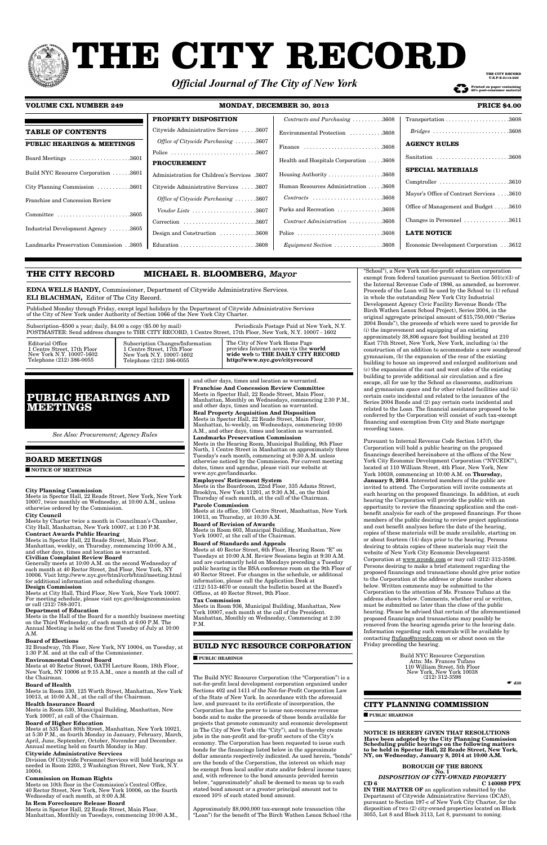# **THE CITY RECORD**

| <b>PROPERTY DISPOSITION</b>                                   | Contracts and Purchasing $\ldots \ldots \ldots 3608$                   |
|---------------------------------------------------------------|------------------------------------------------------------------------|
| Citywide Administrative Services 3607                         | Environmental Protection 3608                                          |
| <i>Office of Citywide Purchasing</i> $\ldots \ldots 3607$     | Finance $\ldots \ldots \ldots \ldots \ldots \ldots \ldots \ldots 3608$ |
|                                                               |                                                                        |
| <b>PROCUREMENT</b>                                            | Health and Hospitals Corporation 3608                                  |
| <b>Administration for Children's Services</b> .3607           | Housing Authority $\dots \dots \dots \dots \dots \dots 3608$           |
| Citywide Administrative Services 3607                         | Human Resources Administration  .3608                                  |
| <i>Office of Citywide Purchasing</i> $\ldots \ldots 3607$     |                                                                        |
| Vendor Lists $\ldots \ldots \ldots \ldots \ldots \ldots 3607$ | Parks and Recreation 3608                                              |
| Correction 3607                                               | Contract Administration 3608                                           |
| Design and Construction 3608                                  |                                                                        |
|                                                               | $Equipment Section \ldots \ldots \ldots \ldots \ldots 3608$            |

Transportation . . . . . . . . . . . . . . . . . . . . .3608 *Bridges . . . . . . . . . . . . . . . . . . . . . . . . .*3608

**AGENCY RULES**

Sanitation . . . . . . . . . . . . . . . . . . . . . . . .3608

**SPECIAL MATERIALS**

Comptroller . . . . . . . . . . . . . . . . . . . . . . .3610 Mayor's Office of Contract Services . . . .3610

Office of Management and Budget . . . . .3610 Changes in Personnel . . . . . . . . . . . . . . .3611

**LATE NOTICE**

Economic Development Corporation . . .3612

## **VOLUME CXL NUMBER 249 MONDAY, DECEMBER 30, 2013 PRICE \$4.00**

|                                       | rru    |
|---------------------------------------|--------|
| <b>TABLE OF CONTENTS</b>              | Cityw  |
| <b>PUBLIC HEARINGS &amp; MEETINGS</b> | Offi   |
|                                       | Police |
| Board Meetings 3601                   | PRO    |
| Build NYC Resource Corporation 3601   | Admi   |
| City Planning Commission 3601         | Cityw  |
| Franchise and Concession Review       | Offi   |
| Committee 3605                        | Ven    |
|                                       | Corre  |
| Industrial Development Agency 3605    | Desig  |
| Landmarks Preservation Commission3605 | Educa  |

## **BOARD MEETINGS**

■ **NOTICE OF MEETINGS**

## **City Planning Commission**

Meets in Spector Hall, 22 Reade Street, New York, New York 10007, twice monthly on Wednesday, at 10:00 A.M., unless otherwise ordered by the Commission.

## **City Council**

Meets by Charter twice a month in Councilman's Chamber, City Hall, Manhattan, New York 10007, at 1:30 P.M. **Contract Awards Public Hearing**

## Meets in Spector Hall, 22 Reade Street, Main Floor,

Manhattan, weekly, on Thursday, commencing 10:00 A.M., and other days, times and location as warranted. **Civilian Complaint Review Board**

Generally meets at 10:00 A.M. on the second Wednesday of each month at 40 Rector Street, 2nd Floor, New York, NY 10006. Visit http://www.nyc.gov/html/ccrb/html/meeting.html for additional information and scheduling changes.

### **Design Commission**

Meets at City Hall, Third Floor, New York, New York 10007. For meeting schedule, please visit nyc.gov/designcommission or call (212) 788-3071.

## **Department of Education**

Meets in the Hall of the Board for a monthly business meeting

on the Third Wednesday, of each month at 6:00 P.M. The Annual Meeting is held on the first Tuesday of July at 10:00 A.M.

#### **Board of Elections**

32 Broadway, 7th Floor, New York, NY 10004, on Tuesday, at 1:30 P.M. and at the call of the Commissioner.

## **Environmental Control Board**

Meets at 40 Rector Street, OATH Lecture Room, 18th Floor, New York, NY 10006 at 9:15 A.M., once a month at the call of the Chairman.

## **Board of Health**

Meets in Room 330, 125 Worth Street, Manhattan, New York 10013, at 10:00 A.M., at the call of the Chairman.

## **Health Insurance Board**

Meets in Room 530, Municipal Building, Manhattan, New York 10007, at call of the Chairman.

## **Board of Higher Education**

Meets at 535 East 80th Street, Manhattan, New York 10021, at 5:30 P.M., on fourth Monday in January, February, March, April, June, September, October, November and December. Annual meeting held on fourth Monday in May.

#### **Citywide Administrative Services**

Division Of Citywide Personnel Services will hold hearings as needed in Room 2203, 2 Washington Street, New York, N.Y. 10004.

## **Commission on Human Rights**

Meets on 10th floor in the Commission's Central Office, 40 Rector Street, New York, New York 10006, on the fourth Wednesday of each month, at 8:00 A.M.

## **In Rem Foreclosure Release Board**

Meets in Spector Hall, 22 Reade Street, Main Floor, Manhattan, Monthly on Tuesdays, commencing 10:00 A.M., and other days, times and location as warranted. **Franchise And Concession Review Committee** Meets in Spector Hall, 22 Reade Street, Main Floor, Manhattan, Monthly on Wednesdays, commencing 2:30 P.M., and other days, times and location as warranted.

**Real Property Acquisition And Disposition** Meets in Spector Hall, 22 Reade Street, Main Floor, Manhattan, bi-weekly, on Wednesdays, commencing 10:00 A.M., and other days, times and location as warranted.

#### **Landmarks Preservation Commission**

Meets in the Hearing Room, Municipal Building, 9th Floor North, 1 Centre Street in Manhattan on approximately three Tuesday's each month, commencing at 9:30 A.M. unless otherwise noticed by the Commission. For current meeting dates, times and agendas, please visit our website at www.nyc.gov/landmarks.

## **Employees' Retirement System**

Meets in the Boardroom, 22nd Floor, 335 Adams Street, Brooklyn, New York 11201, at 9:30 A.M., on the third Thursday of each month, at the call of the Chairman.

## **Parole Commission**

Meets at its office, 100 Centre Street, Manhattan, New York 10013, on Thursday, at 10:30 A.M.

## **Board of Revision of Awards**

Meets in Room 603, Municipal Building, Manhattan, New York 10007, at the call of the Chairman.

# **Board of Standards and Appeals**

Meets at 40 Rector Street, 6th Floor, Hearing Room "E" on Tuesdays at 10:00 A.M. Review Sessions begin at 9:30 A.M. and are customarily held on Mondays preceding a Tuesday public hearing in the BSA conference room on the 9th Floor of 40 Rector Street. For changes in the schedule, or additonal information, please call the Application Desk at (212) 513-4670 or consult the bulletin board at the Board's Offices, at 40 Rector Street, 9th Floor.

#### **Tax Commission**

Meets in Room 936, Municipal Building, Manhattan, New York 10007, each month at the call of the President. Manhattan, Monthly on Wednesday, Commencing at 2:30

P.M.

## **BUILD NYC RESOURCE CORPORATION**

■ **PUBLIC HEARINGS**

The Build NYC Resource Corporation (the "Corporation") is a not-for-profit local development corporation organized under Sections 402 and 1411 of the Not-for-Profit Corporation Law of the State of New York. In accordance with the aforesaid law, and pursuant to its certificate of incorporation, the Corporation has the power to issue non-recourse revenue bonds and to make the proceeds of those bonds available for projects that promote community and economic development in The City of New York (the "City"), and to thereby create jobs in the non-profit and for-profit sectors of the City's economy. The Corporation has been requested to issue such bonds for the financings listed below in the approximate dollar amounts respectively indicated. As used herein, "bonds" are the bonds of the Corporation, the interest on which may be exempt from local and/or state and/or federal income taxes; and, with reference to the bond amounts provided herein below, "approximately" shall be deemed to mean up to such stated bond amount or a greater principal amount not to exceed 10% of such stated bond amount.

Approximately \$8,000,000 tax-exempt note transaction (the "Loan") for the benefit of The Birch Wathen Lenox School (the

"School"), a New York not-for-profit education corporation exempt from federal taxation pursuant to Section 501(c)(3) of the Internal Revenue Code of 1986, as amended, as borrower. Proceeds of the Loan will be used by the School to: (1) refund in whole the outstanding New York City Industrial Development Agency Civic Facility Revenue Bonds (The Birch Wathen Lenox School Project), Series 2004, in the original aggregate principal amount of \$15,750,000 ("Series 2004 Bonds"), the proceeds of which were used to provide for (i) the improvement and equipping of an existing approximately 38,806 square foot building located at 210 East 77th Street, New York, New York, including (a) the construction of an addition to accommodate a new soundproof gymnasium, (b) the expansion of the rear of the existing building to house an improved and enlarged auditorium and (c) the expansion of the east and west sides of the existing building to provide additional air circulation and a fire escape, all for use by the School as classrooms, auditorium and gymnasium space and for other related facilities and (ii) certain costs incidental and related to the issuance of the Series 2004 Bonds and (2) pay certain costs incidental and related to the Loan. The financial assistance proposed to be conferred by the Corporation will consist of such tax-exempt financing and exemption from City and State mortgage recording taxes.

Pursuant to Internal Revenue Code Section 147(f), the Corporation will hold a public hearing on the proposed financings described hereinabove at the offices of the New York City Economic Development Corporation ("NYCEDC"), located at 110 William Street, 4th Floor, New York, New York 10038, commencing at 10:00 A.M. on **Thursday, January 9, 2014**. Interested members of the public are invited to attend. The Corporation will invite comments at such hearing on the proposed financings. In addition, at such hearing the Corporation will provide the public with an opportunity to review the financing application and the costbenefit analysis for each of the proposed financings. For those members of the public desiring to review project applications and cost benefit analyses before the date of the hearing, copies of these materials will be made available, starting on or about fourteen (14) days prior to the hearing. Persons desiring to obtain copies of these materials may visit the website of New York City Economic Development Corporation at www.nycedc.com or may call (212) 312-3598. Persons desiring to make a brief statement regarding the proposed financings and transactions should give prior notice to the Corporation at the address or phone number shown below. Written comments may be submitted to the Corporation to the attention of Ms. Frances Tufano at the address shown below. Comments, whether oral or written, must be submitted no later than the close of the public hearing. Please be advised that certain of the aforementioned proposed financings and transactions may possibly be removed from the hearing agenda prior to the hearing date. Information regarding such removals will be available by contacting ftufano@nycedc.com on or about noon on the Friday preceding the hearing.

> Build NYC Resource Corporation Attn: Ms. Frances Tufano 110 William Street, 5th Floor New York, New York 10038 (212) 312-3598

☛ **d30**

## **CITY PLANNING COMMISSION**

■ **PUBLIC HEARINGS**

**NOTICE IS HEREBY GIVEN THAT RESOLUTIONS Have been adopted by the City Planning Commission Scheduling public hearings on the following matters to be held in Spector Hall, 22 Reade Street, New York, NY, on Wednesday, January 8, 2014 at 10:00 A.M.**

#### **BOROUGH OF THE BRONX No. 1** *DISPOSITION OF CITY-OWNED PROPERTY* **CD 6 C 140089 PPX**

**IN THE MATTER OF** an application submitted by the Department of Citywide Administrative Services (DCAS), pursuant to Section 197-c of New York City Charter, for the disposition of two (2) city-owned properties located on Block 3055, Lot 8 and Block 3113, Lot 8, pursuant to zoning.

## **THE CITY RECORD MICHAEL R. BLOOMBERG,** Mayor

**EDNA WELLS HANDY,** Commissioner, Department of Citywide Administrative Services. **ELI BLACHMAN,** Editor of The City Record.

Published Monday through Friday, except legal holidays by the Department of Citywide Administrative Services of the City of New York under Authority of Section 1066 of the New York City Charter.

| Subscription–\$500 a year; daily, \$4.00 a copy (\$5.00 by mail) | Periodicals Postage Paid at New York, N.Y.<br>POSTMASTER: Send address changes to THE CITY RECORD, 1 Centre Street, 17th Floor, New York, N.Y. 10007 - 1602 |                                               |
|------------------------------------------------------------------|-------------------------------------------------------------------------------------------------------------------------------------------------------------|-----------------------------------------------|
| Editorial Office                                                 | Subscription Changes/Information                                                                                                                            | The City of New York Home Page                |
| 1 Centre Street, 17th Floor                                      | 1 Centre Street, 17th Floor                                                                                                                                 | provides Internet access via the <b>world</b> |
| New York N.Y. 10007-1602                                         | New York N.Y. 10007-1602                                                                                                                                    | wide web to THE DAILY CITY RECORD             |
| Telephone (212) 386-0055                                         | Telephone (212) 386-0055                                                                                                                                    | http://www.nyc.gov/cityrecord                 |

# **PUBLIC HEARINGS AND MEETINGS**

*See Also: Procurement; Agency Rules*

# *Official Journal of The City of New York*

**THE CITY RECORD U.S.P.S.0114-660**

**40% post-consumer material 40% post-consumer material**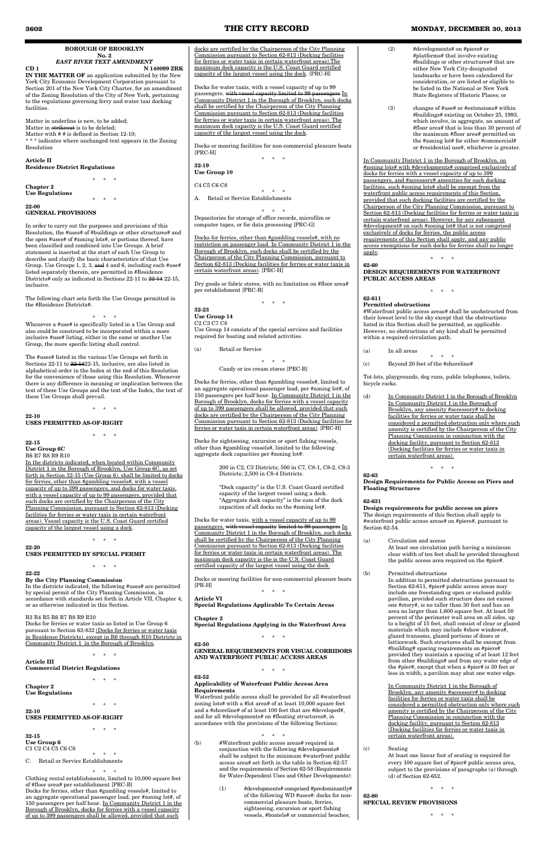**BOROUGH OF BROOKLYN No. 2**

# *EAST RIVER TEXT AMENDMENT*

**CD 1 N 140099 ZRK IN THE MATTER OF** an application submitted by the New York City Economic Development Corporation pursuant to Section 201 of the New York City Charter, for an amendment of the Zoning Resolution of the City of New York, pertaining to the regulations governing ferry and water taxi docking facilities.

Matter in underline is new, to be added; Matter in strikeout is to be deleted; Matter with # # is defined in Section 12-10; \* \* \* indicates where unchanged text appears in the Zoning Resolution

**Article II Residence District Regulations**

**Chapter 2** 

\* \* \* **Use Regulations** \* \* \*

**22-00 GENERAL PROVISIONS**

In order to carry out the purposes and provisions of this Resolution, the #uses# of #buildings or other structures# and the open #uses# of #zoning lots#, or portions thereof, have been classified and combined into Use Groups. A brief statement is inserted at the start of each Use Group to describe and clarify the basic characteristics of that Use Group. Use Groups 1, 2, 3, and 4 and 6, including each #use# listed separately therein, are permitted in #Residence Districts# only as indicated in Sections 22-11 to 22-14 22-15, inclusive.

The following chart sets forth the Use Groups permitted in the #Residence Districts#.

\* \* \* Whenever a #use# is specifically listed in a Use Group and also could be construed to be incorporated within a more inclusive #use# listing, either in the same or another Use Group, the more specific listing shall control.

The #uses# listed in the various Use Groups set forth in Sections 22-11 to 22-1422-15, inclusive, are also listed in alphabetical order in the Index at the end of this Resolution for the convenience of those using this Resolution. Whenever there is any difference in meaning or implication between the text of these Use Groups and the text of the Index, the text of these Use Groups shall prevail.

\* \* \*

**22-10 USES PERMITTED AS-OF-RIGHT**

\* \* \*

**22-15**

**Use Group 6C**

R6 R7 R8 R9 R10

In the districts indicated, when located within Community District 1 in the Borough of Brooklyn, Use Group 6C, as set forth in Section 32-15 (Use Group 6), shall be limited to docks for ferries, other than #gambling vessels#, with a vessel capacity of up to 399 passengers, and docks for water taxis, with a vessel capacity of up to 99 passengers, provided that such docks are certified by the Chairperson of the City Planning Commission, pursuant to Section 62-813 (Docking facilities for ferries or water taxis in certain waterfront areas). Vessel capacity is the U.S. Coast Guard certified capacity of the largest vessel using a dock.

\* \* \*

**22-20 USES PERMITTED BY SPECIAL PERMIT**

\* \* \*

## **22-22**

**By the City Planning Commission** In the districts indicated, the following #uses# are permitted by special permit of the City Planning Commission, in accordance with standards set forth in Article VII, Chapter 4, or as otherwise indicated in this Section.

R3 R4 R5 R6 R7 R8 R9 R10

Docks for ferries or water taxis as listed in Use Group 6 pursuant to Section 62-832 (Docks for ferries or water taxis in Residence Districts), except in R6 through R10 Districts in Community District 1 in the Borough of Brooklyn.

 $\,$   $\,$ 

## **Article III Commercial District Regulations**

\* \* \*

## **Chapter 2 Use Regulations**

\* \* \*

#### **32-10 USES PERMITTED AS-OF-RIGHT**

\* \* \*

## **32-15 Use Group 6** C1 C2 C4 C5 C6 C8

\* \* \* C. Retail or Service Establishments

\* \* \* Clothing rental establishments, limited to 10,000 square feet of #floor area# per establishment [PRC-B] Docks for ferries, other than #gambling vessels#, limited to an aggregate operational passenger load, per #zoning lot#, of 150 passengers per half hour. In Community District 1 in the Borough of Brooklyn, docks for ferries with a vessel capacity of up to 399 passengers shall be allowed, provided that such

docks are certified by the Chairperson of the City Planning Commission pursuant to Section 62-813 (Docking facilities for ferries or water taxis in certain waterfront areas).The maximum dock capacity is the U.S. Coast Guard certified capacity of the largest vessel using the dock. [PRC-H]

Docks for water taxis, with a vessel capacity of up to 99 passengers. with vessel capacity limited to 99 passengers In Community District 1 in the Borough of Brooklyn, such docks shall be certified by the Chairperson of the City Planning Commission pursuant to Section 62-813 (Docking facilities for ferries or water taxis in certain waterfront areas). The maximum dock capacity is the U.S. Coast Guard certified capacity of the largest vessel using the dock.

Docks or mooring facilities for non-commercial pleasure boats [PRC-H] \* \* \*

**32-19**

**Use Group 10**

C4 C5 C6 C8

\* \* \*

A. Retail or Service Establishments

\* \* \*

Depositories for storage of office records, microfilm or computer tapes, or for data processing [PRC-G]

Docks for ferries, other than #gambling vessels#, with no restriction on passenger load. In Community District 1 in the Borough of Brooklyn, such docks shall be certified by the Chairperson of the City Planning Commission, pursuant to Section 62-813 (Docking facilities for ferries or water taxis in certain waterfront areas). [PRC-H]

> (d) In Community District 1 in the Borough of Brooklyn In Community District 1 in the Borough of Brooklyn, any amenity #accessory# to docking facilities for ferries or water taxis shall be considered a permitted obstruction only where such amenity is certified by the Chairperson of the City Planning Commission in conjunction with the docking facility, pursuant to Section 62-813 (Docking facilities for ferries or water taxis in certain waterfront areas).

Dry goods or fabric stores, with no limitation on #floor area# per establishment [PRC-B] \* \* \*

**32-23 Use Group 14**

## C2 C3 C7 C8

Use Group 14 consists of the special services and facilities required for boating and related activities.

(a) Retail or Service

## \* \* \* Candy or ice cream stores [PRC-B]

Docks for ferries, other than #gambling vessels#, limited to an aggregate operational passenger load, per #zoning lot#, of 150 passengers per half hour. In Community District 1 in the Borough of Brooklyn, docks for ferries with a vessel capacity of up to 399 passengers shall be allowed, provided that such docks are certified by the Chairperson of the City Planning Commission pursuant to Section 62-813 (Docking facilities for ferries or water taxis in certain waterfront areas). [PRC-H]

Docks for sightseeing, excursion or sport fishing vessels, other than #gambling vessels#, limited to the following aggregate dock capacities per #zoning lot#:

> 200 in C2, C3 Districts; 500 in C7, C8-1, C8-2, C8-3 Districts; 2,500 in C8-4 Districts.

"Dock capacity" is the U.S. Coast Guard certified capacity of the largest vessel using a dock. "Aggregate dock capacity" is the sum of the dock capacities of all docks on the #zoning lot#.

Docks for water taxis, with a vessel capacity of up to 99 passengers. with vessel capacity limited to 99 passengers In Community District 1 in the Borough of Brooklyn, such docks shall be certified by the Chairperson of the City Planning Commission pursuant to Section 62-813 (Docking facilities for ferries or water taxis in certain waterfront areas). The maximum dock capacity is the is the U.S. Coast Guard certified capacity of the largest vessel using the dock.

Docks or mooring facilities for non-commercial pleasure boats [PR-H]

\* \* \* **Article VI** 

**Special Regulations Applicable To Certain Areas**

**Chapter 2** 

**Special Regulations Applying in the Waterfront Area**

\* \* \*

#### **62-50 GENERAL REQUIREMENTS FOR VISUAL CORRIDORS AND WATERFRONT PUBLIC ACCESS AREAS**

 $*$  \*

## **62-52**

## **Applicability of Waterfront Public Access Area Requirements**

Waterfront public access shall be provided for all #waterfront zoning lots# with a #lot area# of at least 10,000 square feet and a #shoreline# of at least 100 feet that are #developed#, and for all #developments# on #floating structures#, in accordance with the provisions of the following Sections:

\* \* \*

- (b) #Waterfront public access areas# required in conjunction with the following #developments# shall be subject to the minimum #waterfront public access area# set forth in the table in Section  $62-57$ and the requirements of Section 62-58 (Requirements for Water-Dependent Uses and Other Developments):
	- (1) #developments# comprised #predominantly# of the following WD #uses#: docks for noncommercial pleasure boats, ferries, sightseeing, excursion or sport fishing vessels, #boatels# or commercial beaches;

(2) #developments# on #piers# or #platforms# that involve existing #buildings or other structures# that are either New York City-designated landmarks or have been calendared for consideration, or are listed or eligible to be listed in the National or New York State Registers of Historic Places; or

(3) changes of #use# or #extensions# within #buildings# existing on October 25, 1993, which involve, in aggregate, an amount of #floor area# that is less than 30 percent of the maximum #floor area# permitted on the #zoning lot# for either #commercial# or #residential use#, whichever is greater.

In Community District 1 in the Borough of Brooklyn, on #zoning lots# with #developments# comprised exclusively of docks for ferries with a vessel capacity of up to 399 passengers, and #accessory# amenities for such docking facilities, such #zoning lots# shall be exempt from the waterfront public access requirements of this Section, provided that such docking facilities are certified by the Chairperson of the City Planning Commission, pursuant to Section 62-813 (Docking facilities for ferries or water taxis in certain waterfront areas). However, for any subsequent #development# on such #zoning lot# that is not comprised exclusively of docks for ferries, the public access requirements of this Section shall apply, and any public access exemptions for such docks for ferries shall no longer apply. \* \* \*

## **62-60 DESIGN REQUIREMENTS FOR WATERFRONT PUBLIC ACCESS AREAS**

\* \* \* **62-611 Permitted obstructions** 

#Waterfront public access areas# shall be unobstructed from their lowest level to the sky except that the obstructions listed in this Section shall be permitted, as applicable. However, no obstructions of any kind shall be permitted within a required circulation path.

(a) In all areas

\* \* \*

(c) Beyond 20 feet of the #shoreline#

Tot-lots, playgrounds, dog runs, public telephones, toilets, bicycle racks.

\* \* \*

## **62-63**

**Design Requirements for Public Access on Piers and Floating Structures**

## **62-631**

**Design requirements for public access on piers** The design requirements of this Section shall apply to #waterfront public access areas# on #piers#, pursuant to Section 62-54.

- (a) Circulation and access At least one circulation path having a minimum clear width of ten feet shall be provided throughout the public access area required on the #pier#.
- (b) Permitted obstructions In addition to permitted obstructions pursuant to Section 62-611, #pier# public access areas may include one freestanding open or enclosed public pavilion, provided such structure does not exceed one #story#, is no taller than 30 feet and has an area no larger than 1,600 square feet. At least 50 percent of the perimeter wall area on all sides, up

to a height of 15 feet, shall consist of clear or glazed materials which may include #show windows#, glazed transoms, glazed portions of doors or latticework. Such structures shall be exempt from #building# spacing requirements on #piers# provided they maintain a spacing of at least 12 feet from other #buildings# and from any water edge of the #pier#, except that when a #pier# is 30 feet or less in width, a pavilion may abut one water edge.

In Community District 1 in the Borough of Brooklyn, any amenity #accessory# to docking facilities for ferries or water taxis shall be considered a permitted obstruction only where such amenity is certified by the Chairperson of the City Planning Commission in conjunction with the docking facility, pursuant to Section 62-813 (Docking facilities for ferries or water taxis in certain waterfront areas).

(c) Seating

At least one linear foot of seating is required for every 100 square feet of #pier# public access area, subject to the provisions of paragraphs (a) through (d) of Section 62-652.

\* \* \*

## **62-80 SPECIAL REVIEW PROVISIONS**

 $*$   $*$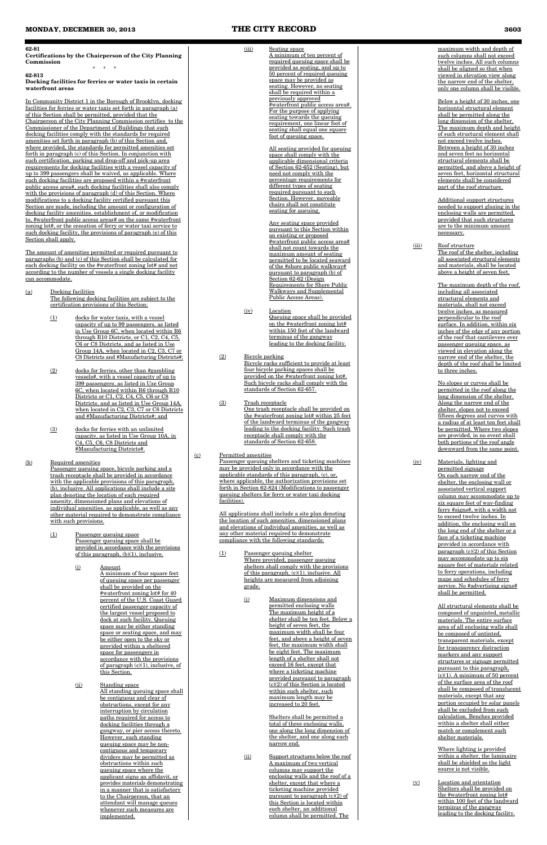#### **62-81**

**Certifications by the Chairperson of the City Planning Commission** \* \* \*

**62-813**

**Docking facilities for ferries or water taxis in certain waterfront areas**

In Community District 1 in the Borough of Brooklyn, docking facilities for ferries or water taxis set forth in paragraph (a) of this Section shall be permitted, provided that the Chairperson of the City Planning Commission certifies to the Commissioner of the Department of Buildings that such docking facilities comply with the standards for required amenities set forth in paragraph (b) of this Section and, where provided, the standards for permitted amenities set forth in paragraph (c) of this Section. In conjunction with such certification, parking and drop-off and pick-up area requirements for docking facilities with a vessel capacity of up to 399 passengers shall be waived, as applicable. Where such docking facilities are proposed within a #waterfront public access area#, such docking facilities shall also comply with the provisions of paragraph (d) of this Section. Where modifications to a docking facility certified pursuant this Section are made, including the amount or configuration of docking facility amenities, establishment of, or modification to, #waterfront public access areas# on the same #waterfront zoning lot#, or the cessation of ferry or water taxi service to such docking facility, the provisions of paragraph (e) of this Section shall apply.

> Passenger queuing space, bicycle parking and a trash receptacle shall be provided in accordance with the applicable provisions of this paragraph, (b), inclusive. All applications shall include a site plan denoting the location of each required amenity, dimensioned plans and elevations of individual amenities, as applicable, as well as any other material required to demonstrate compliance with such provisions.

The amount of amenities permitted or required pursuant to paragraphs (b) and (c) of this Section shall be calculated for each docking facility on the #waterfront zoning lot# and not according to the number of vessels a single docking facility can accommodate.

> (ii) Standing space All standing queuing space shall be contiguous and clear of obstructions, except for any interruption by circulation paths required for access to docking facilities through a gangway, or pier access thereto. However, such standing queuing space may be noncontiguous and temporary dividers may be permitted as obstructions within such queuing space where the applicant signs an affidavit, or provides materials demonstrating in a manner that is satisfactory to the Chairperson, that an attendant will manage queues whenever such measures are implemented.

- (a) Docking facilities The following docking facilities are subject to the certification provisions of this Section:
	- (1) docks for water taxis, with a vessel capacity of up to 99 passengers, as listed in Use Group 6C, when located within R6 through R10 Districts, or C1, C2, C4, C5, C6 or C8 Districts, and as listed in Use Group 14A, when located in C2, C3, C7 or C8 Districts and #Manufacturing Districts#;
	- (2) docks for ferries, other than #gambling vessels#, with a vessel capacity of up to 399 passengers, as listed in Use Group 6C, when located within R6 through R10 Districts or C1, C2, C4, C5, C6 or C8 Districts, and as listed in Use Group 14A, when located in C2, C3, C7 or C8 Districts and #Manufacturing Districts#; and
	- (3) docks for ferries with an unlimited capacity, as listed in Use Group 10A, in C4, C5, C6, C8 Districts and #Manufacturing Districts#.

## (b) Required amenities

- (1) Passenger queuing space Passenger queuing space shall be provided in accordance with the provisions of this paragraph, (b)(1), inclusive.
	- (i) Amount A minimum of four square feet of queuing space per passenger shall be provided on the #waterfront zoning lot# for 40 percent of the U.S. Coast Guard certified passenger capacity of the largest vessel proposed to dock at such facility. Queuing space may be either standing space or seating space, and may be either open to the sky or provided within a sheltered space for passengers in accordance with the provisions of paragraph  $(c)(1)$ , inclusive, of this Section.

(ii) Support structures below the roof A maximum of two vertical columns may support the enclosing walls and the roof of a shelter, except that where a ticketing machine provided pursuant to paragraph (c)(2) of this Section is located within such shelter, an additional column shall be permitted. The

(iii) Roof structure The roof of the shelter, including all associated structural elements and materials, shall be located above a height of seven feet.

#### (iii) Seating space A minimum of ten percent of required queuing space shall be provided as seating, and up to 50 percent of required queuing space may be provided as seating. However, no seating shall be required within a previously approved #waterfront public access area#. For the purpose of applying seating towards the queuing requirement, one linear foot of seating shall equal one square foot of queuing space.

All seating provided for queuing space shall comply with the applicable dimensional criteria of Section 62-652 (Seating), but need not comply with the percentage requirements for different types of seating required pursuant to such Section. However, moveable chairs shall not constitute seating for queuing.

Any seating space provided pursuant to this Section within an existing or proposed #waterfront public access area# shall not count towards the maximum amount of seating permitted to be located seaward of the #shore public walkway# pursuant to paragraph (b) of Section 62-62 (Design Requirements for Shore Public Walkways and Supplemental Public Access Areas).

(iv) Location Queuing space shall be provided on the #waterfront zoning lot# within 150 feet of the landward terminus of the gangway leading to the docking facility.

## (2) Bicycle parking

- Bicycle racks sufficient to provide at least four bicycle parking spaces shall be provided on the #waterfront zoning lot#. Such bicycle racks shall comply with the standards of Section 62-657.
- (3) Trash receptacle One trash receptacle shall be provided on the #waterfront zoning lot# within 25 feet of the landward terminus of the gangway leading to the docking facility. Such trash receptacle shall comply with the standards of Section 62-658.

## (c) Permitted amenities

Passenger queuing shelters and ticketing machines may be provided only in accordance with the applicable standards of this paragraph, (c), or, where applicable, the authorization provisions set forth in Section 62-824 (Modifications to passenger queuing shelters for ferry or water taxi docking facilities).

All applications shall include a site plan denoting the location of such amenities, dimensioned plans and elevations of individual amenities, as well as any other material required to demonstrate compliance with the following standards:

- (1) Passenger queuing shelter Where provided, passenger queuing shelters shall comply with the provisions of this paragraph, (c)(1), inclusive. All heights are measured from adjoining grade.
	- (i) Maximum dimensions and permitted enclosing walls The maximum height of a shelter shall be ten feet. Below a

height of seven feet, the maximum width shall be four feet, and above a height of seven feet, the maximum width shall be eight feet. The maximum length of a shelter shall not exceed 16 feet, except that where a ticketing machine provided pursuant to paragraph (c)(2) of this Section is located within such shelter, such maximum length may be increased to 20 feet.

Shelters shall be permitted a total of three enclosing walls, one along the long dimension of the shelter, and one along each narrow end.

maximum width and depth of such columns shall not exceed twelve inches. All such columns shall be aligned so that when viewed in elevation view along the narrow end of the shelter, only one column shall be visible.

Below a height of 30 inches, one horizontal structural element shall be permitted along the long dimension of the shelter. The maximum depth and height of such structural element shall not exceed twelve inches. Between a height of 30 inches and seven feet no horizontal structural elements shall be permitted, and above a height of seven feet, horizontal structural elements shall be considered part of the roof structure.

Additional support structures needed to support glazing in the enclosing walls are permitted, provided that such structures are to the minimum amount necessary.

The maximum depth of the roof, including all associated structural elements and materials, shall not exceed twelve inches, as measured perpendicular to the roof surface. In addition, within six inches of the edge of any portion of the roof that cantilevers over passenger queuing space, as viewed in elevation along the narrow end of the shelter, the depth of the roof shall be limited to three inches.

No slopes or curves shall be permitted in the roof along the long dimension of the shelter. Along the narrow end of the shelter, slopes not to exceed fifteen degrees and curves with a radius of at least ten feet shall be permitted. Where two slopes are provided, in no event shall both portions of the roof angle downward from the same point.

(iv) Materials, lighting and permitted signage On each narrow end of the shelter, the enclosing wall or associated vertical support column may accommodate up to six square feet of way-finding ferry #signs#, with a width not to exceed twelve inches. In addition, the enclosing wall on the long end of the shelter or a face of a ticketing machine provided in accordance with paragraph  $(c)(2)$  of this Section may accommodate up to six square feet of materials related to ferry operations, including maps and schedules of ferry service. No #advertising signs# shall be permitted.

> All structural elements shall be composed of unpainted, metallic materials. The entire surface area of all enclosing walls shall be composed of untinted, transparent materials, except for transparency distraction markers and any support structures or signage permitted pursuant to this paragraph,  $(c)(1)$ . A minimum of 50 percent of the surface area of the roof shall be composed of translucent materials, except that any portion occupied by solar panels shall be excluded from such calculation. Benches provided within a shelter shall either match or complement such shelter materials.

Where lighting is provided within a shelter, the luminaire shall be shielded so the light source is not visible.

(v) Location and orientation Shelters shall be provided on the #waterfront zoning lot# within 100 feet of the landward terminus of the gangway leading to the docking facility.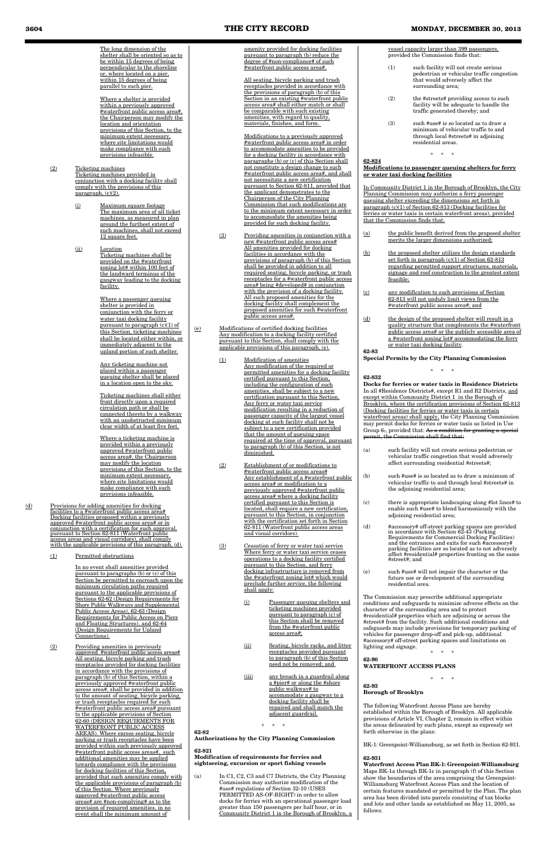The long dimension of the shelter shall be oriented so as to be within 15 degrees of being perpendicular to the shoreline or, where located on a pier, within 15 degrees of being parallel to such pier.

(2) Ticketing machines Ticketing machines provided in conjunction with a docking facility shall comply with the provisions of this  $\frac{p \cdot p}{p \cdot q}$ 

Where a shelter is provided within a previously approved #waterfront public access area#, the Chairperson may modify the location and orientation provisions of this Section, to the minimum extent necessary, where site limitations would make compliance with such provisions infeasible.

- (i) Maximum square footage The maximum area of all ticket machines, as measured in plan around the furthest extent of such machines, shall not exceed 12 square feet.
- (ii) Location Ticketing machines shall be provided on the #waterfront zoning lot# within 100 feet of the landward terminus of the gangway leading to the docking facility.

Where a passenger queuing shelter is provided in conjunction with the ferry or water taxi docking facility pursuant to paragraph (c)(1) of this Section, ticketing machines shall be located either within, or immediately adjacent to the upland portion of such shelter.

Any ticketing machine not placed within a passenger queuing shelter shall be placed in a location open to the sky.

Ticketing machines shall either front directly upon a required circulation path or shall be connected thereto by a walkway with an unobstructed minimum clear width of at least five feet.

Where a ticketing machine is provided within a previously approved #waterfront public access area#, the Chairperson may modify the location provisions of this Section, to the minimum extent necessary, where site limitations would make compliance with such provisions infeasible.

(d) Provisions for adding amenities for docking facilities to a #waterfront public access area# Docking facilities proposed within a previously approved #waterfront public access area# or in conjunction with a certification for such approval, pursuant to Section 62-811 (Waterfront public access areas and visual corridors), shall comply with the applicable provisions of this paragraph, (d).

## (1) Permitted obstructions

- (3) Providing amenities in conjunction with a new #waterfront public access area# All amenities provided for docking facilities in accordance with the provisions of paragraph (b) of this Section shall be provided in addition to all required seating, bicycle parking, or trash receptacles for a #waterfront public access area# being #developed# in conjunction with the provision of a docking facility. All such proposed amenities for the docking facility shall complement the proposed amenities for such #waterfront public access area#.
- (e) Modifications of certified docking facilities Any modification to a docking facility certified pursuant to this Section, shall comply with the applicable provisions of this paragraph, (e).
	- (1) Modification of amenities Any modification of the required or permitted amenities for a docking facility certified pursuant to this Section, including the configuration of such amenities, shall be subject to a new certification pursuant to this Section. Any ferry or water taxi service modification resulting in a reduction of passenger capacity of the largest vessel docking at such facility shall not be subject to a new certification provided that the amount of queuing space required at the time of approval, pursuant to paragraph (b) of this Section, is not diminished.
	- (2) Establishment of or modifications to #waterfront public access areas# Any establishment of a #waterfront public access area# or modification to a previously approved #waterfront public access area# where a docking facility certified pursuant to this Section is located, shall require a new certification, pursuant to this Section, in conjunction with the certification set forth in Section 62-811 (Waterfront public access areas and visual corridors).
	- (3) Cessation of ferry or water taxi service Where ferry or water taxi service ceases operations to a docking facility certified pursuant to this Section, and ferry docking infrastructure is removed from the #waterfront zoning lot# which would preclude further service, the following shall apply:
		- (i) Passenger queuing shelters and ticketing machines provided pursuant to paragraph (c) of <u>ction shall be</u>

In no event shall amenities provided pursuant to paragraphs (b) or (c) of this Section be permitted to encroach upon the minimum circulation paths required pursuant to the applicable provisions of Sections 62-62 (Design Requirements for Shore Public Walkways and Supplemental Public Access Areas), 62-63 (Design Requirements for Public Access on Piers

and Floating Structures), and 62-64 (Design Requirements for Upland Connections).

(2) Providing amenities in previously approved #waterfront public access areas# All seating, bicycle parking and trash receptacles provided for docking facilities in accordance with the provisions of paragraph (b) of this Section, within a previously approved #waterfront public access area#, shall be provided in addition to the amount of seating, bicycle parking, or trash receptacles required for such #waterfront public access area# pursuant to the applicable provisions of Section 62-60 (DESIGN REQUIRMENTS FOR WATERFRONT PUBLIC ACCESS AREAS). Where excess seating, bicycle parking or trash receptacles have been provided within such previously approved #waterfront public access areas#, such additional amenities may be applied towards compliance with the provisions for docking facilities of this Section, provided that such amenities comply with the applicable provisions of paragraph (b) of this Section. Where previously approved #waterfront public access areas# are #non-complying# as to the provision of required amenities, in no event shall the minimum amount of

amenity provided for docking facilities pursuant to paragraph (b) reduce the degree of #non-compliance# of such #waterfront public access area#.

In C1, C2, C3 and C7 Districts, the City Planning Commission may authorize modification of the #use# regulations of Section 32-10 (USES PERMITTED AS-OF-RIGHT) in order to allow docks for ferries with an operational passenger load greater than 150 passengers per half hour, or in Community District 1 in the Borough of Brooklyn, a

All seating, bicycle parking and trash receptacles provided in accordance with the provisions of paragraph (b) of this Section in an existing #waterfront public access area# shall either match or shall be comparable with such existing amenities, with regard to quality, materials, finishes, and form.

Modifications to a previously approved #waterfront public access area# in order to accommodate amenities to be provided for a docking facility in accordance with paragraphs (b) or (c) of this Section shall not constitute a design change to such #waterfront public access area#, and shall not necessitate a new certification pursuant to Section 62-811, provided that the applicant demonstrates to the Chairperson of the City Planning Commission that such modifications are to the minimum extent necessary in order to accommodate the amenities being provided for such docking facility.

> **Docks for ferries or water taxis in Residence Districts** In all #Residence Districts#, except R1 and R2 Districts, and except within Community District 1 in the Borough of Brooklyn, where the certification provisions of Section 62-813 (Docking facilities for ferries or water taxis in certain waterfront areas) shall apply, the City Planning Commission may permit docks for ferries or water taxis as listed in Use Group 6-, provided that: As a condition for granting a special Commission shall find that:

from the #waterfront public access area#;

- (ii) Seating, bicycle racks, and litter receptacles provided pursuant to paragraph (b) of this Section need not be removed; and
- (iii) any breach in a guardrail along a #pier# or along the #shore public walkway# to accommodate a gangway to a docking facility shall be repaired and shall match the adjacent guardrail.

 $\ast$ 

## **62-82**

**Authorizations by the City Planning Commission**

#### **62-821**

**Modification of requirements for ferries and sightseeing, excursion or sport fishing vessels** vessel capacity larger than 399 passengers, provided the Commission finds that:

- (1) such facility will not create serious pedestrian or vehicular traffic congestion that would adversely affect the surrounding area;
- (2) the #streets# providing access to such facility will be adequate to handle the traffic generated thereby; and
- (3) such #use# is so located as to draw a minimum of vehicular traffic to and through local #streets# in adjoining residential areas.

\* \* \*

## **62-824**

## **Modifications to passenger queuing shelters for ferry or water taxi docking facilities**

In Community District 1 in the Borough of Brooklyn, the City Planning Commission may authorize a ferry passenger queuing shelter exceeding the dimensions set forth in paragraph (c)(1) of Section 62-813 (Docking facilities for ferries or water taxis in certain waterfront areas), provided that the Commission finds that:

- (a) the public benefit derived from the proposed shelter merits the larger dimensions authorized;
- (b) the proposed shelter utilizes the design standards set forth in paragraph  $(c)(1)$  of Section 62-813 regarding permitted support structures, materials, signage and roof construction to the greatest extent feasible;
- (c) any modification to such provisions of Section 62-813 will not unduly limit views from the #waterfront public access area#; and
- (d) the design of the proposed shelter will result in a quality structure that complements the #waterfront public access area# or the publicly accessible area of a #waterfront zoning lot# accommodating the ferry or water taxi docking facility.

**62-83**

**Special Permits by the City Planning Commission**

\* \* \*

## **62-832**

- (a) such facility will not create serious pedestrian or vehicular traffic congestion that would adversely affect surrounding residential #streets#;
- (b) such #use# is so located as to draw a minimum of vehicular traffic to and through local #streets# in the adjoining residential area;
- (c) there is appropriate landscaping along #lot lines# to enable such #use# to blend harmoniously with the adjoining residential area;
- (d) #accessory# off-street parking spaces are provided in accordance with Section 62-43 (Parking Requirements for Commercial Docking Facilities) and the entrances and exits for such #accessory# parking facilities are so located as to not adversely affect #residential# properties fronting on the same #street#; and
- (e) such #use# will not impair the character or the future use or development of the surrounding residential area.

The Commission may prescribe additional appropriate conditions and safeguards to minimize adverse effects on the character of the surrounding area and to protect #residential# properties which are adjoining or across the #street# from the facility. Such additional conditions and safeguards may include provisions for temporary parking of vehicles for passenger drop-off and pick-up, additional #accessory# off-street parking spaces and limitations on lighting and signage.

\* \* \*

**62-90 WATERFRONT ACCESS PLANS**

\* \* \*

#### **62-93 Borough of Brooklyn**

The following Waterfront Access Plans are hereby established within the Borough of Brooklyn. All applicable provisions of Article VI, Chapter 2, remain in effect within the areas delineated by such plans, except as expressly set forth otherwise in the plans:

BK-1: Greenpoint-Williamsburg, as set forth in Section 62-931.

#### **62-931**

**Waterfront Access Plan BK-1: Greenpoint-Williamsburg** Maps BK-1a through BK-1c in paragraph (f) of this Section show the boundaries of the area comprising the Greenpoint-Williamsburg Waterfront Access Plan and the location of certain features mandated or permitted by the Plan. The plan area has been divided into parcels consisting of tax blocks and lots and other lands as established on May 11, 2005, as follows: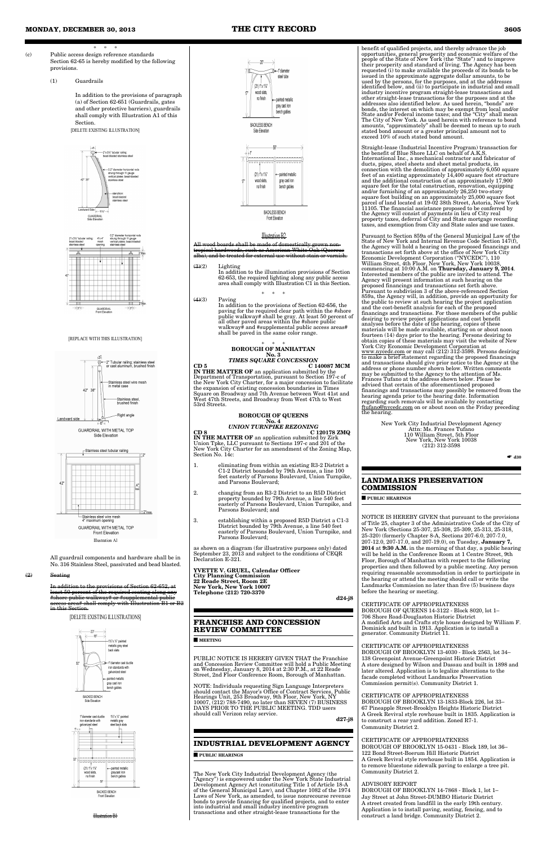- \* \* \* (c) Public access design reference standards Section 62-65 is hereby modified by the following provisions.
	- (1) Guardrails

In addition to the provisions of paragraph (a) of Section 62-651 (Guardrails, gates and other protective barriers), guardrails shall comply with Illustration A1 of this Section.

All guardrail components and hardware shall be in No. 316 Stainless Steel, passivated and bead blasted.

 $\left( 2\right)$ 

In addition to the provisions of Section 62-652, at least 50 percent of the required seating along any ublic walkway# or #supplemental public area# shall comply with Illustration B1 or B2 in this Section.

| YVETTE V. GRUEL, Calendar Officer |        |
|-----------------------------------|--------|
|                                   |        |
| <b>City Planning Commission</b>   |        |
| 22 Reade Street. Room 2E          |        |
| New York. New York 10007          |        |
| Telephone (212) 720-3370          |        |
|                                   | d24-j8 |
|                                   |        |

as shown on a diagram (for illustrative purposes only) dated September 23, 2013 and subject to the conditions of CEQR Declaration E-321.

## **FRANCHISE AND CONCESSION REVIEW COMMITTEE**

#### ■ **MEETING**

PUBLIC NOTICE IS HEREBY GIVEN THAT the Franchise and Concession Review Committee will hold a Public Meeting on Wednesday, January 8, 2014 at 2:30 P.M., at 22 Reade Street, 2nd Floor Conference Room, Borough of Manhattan.

NOTE: Individuals requesting Sign Language Interpreters should contact the Mayor's Office of Contract Services, Public Hearings Unit, 253 Broadway, 9th Floor, New York, NY 10007, (212) 788-7490, no later than SEVEN (7) BUSINESS DAYS PRIOR TO THE PUBLIC MEETING. TDD users should call Verizon relay service.

d27-j8

## **INDUSTRIAL DEVELOPMENT AGENCY**

## ■ **PUBLIC HEARINGS**

The New York City Industrial Development Agency (the "Agency") is empowered under the New York State Industrial Development Agency Act (constituting Title 1 of Article 18-A of the General Municipal Law), and Chapter 1082 of the 1974 Laws of New York, as amended, to issue nonrecourse revenue bonds to provide financing for qualified projects, and to enter into industrial and small industry incentive program transactions and other straight-lease transactions for the

benefit of qualified projects, and thereby advance the job opportunities, general prosperity and economic welfare of the people of the State of New York (the "State") and to improve their prosperity and standard of living. The Agency has been requested (i) to make available the proceeds of its bonds to be issued in the approximate aggregate dollar amounts, to be used by the persons, for the purposes, and at the addresses identified below, and (ii) to participate in industrial and small industry incentive program straight-lease transactions and other straight-lease transactions for the purposes and at the addresses also identified below. As used herein, "bonds" are bonds, the interest on which may be exempt from local and/or State and/or Federal income taxes; and the "City" shall mean The City of New York. As used herein with reference to bond amounts, "approximately" shall be deemed to mean up to such stated bond amount or a greater principal amount not to exceed 10% of such stated bond amount.



GUARDRAIL WITH METAL TOP Front Elevation Illustration A1

Straight-lease (Industrial Incentive Program) transaction for the benefit of Blue Shore LLC on behalf of A.K.S. International Inc., a mechanical contractor and fabricator of ducts, pipes, steel sheets and sheet metal products, in connection with the demolition of approximately 6,050 square feet of an existing approximately 14,400 square foot structure and the additional construction of an approximately 17,900 square feet for the total construction, renovation, equipping and/or furnishing of an approximately 26,250 two-story square foot building on an approximately 25,000 square foot parcel of land located at 19-02 38th Street, Astoria, New York 11105. The financial assistance proposed to be conferred by the Agency will consist of payments in lieu of City real property taxes, deferral of City and State mortgage recording taxes, and exemption from City and State sales and use taxes.



Pursuant to Section 859a of the General Municipal Law of the State of New York and Internal Revenue Code Section 147(f), the Agency will hold a hearing on the proposed financings and transactions set forth above at the office of New York City Economic Development Corporation ("NYCEDC"), 110 William Street, 4th Floor, New York, New York 10038, commencing at 10:00 A.M. on **Thursday, January 9, 2014**. Interested members of the public are invited to attend. The Agency will present information at such hearing on the proposed financings and transactions set forth above. Pursuant to subdivision 3 of the above-referenced Section 859a, the Agency will, in addition, provide an opportunity for the public to review at such hearing the project application and the cost-benefit analysis for each of the proposed financings and transactions. For those members of the public desiring to review project applications and cost benefit analyses before the date of the hearing, copies of these materials will be made available, starting on or about noon fourteen (14) days prior to the hearing. Persons desiring to obtain copies of these materials may visit the website of New York City Economic Development Corporation at www.nycedc.com or may call (212) 312-3598. Persons desiring to make a brief statement regarding the proposed financings and transactions should give prior notice to the Agency at the address or phone number shown below. Written comments may be submitted to the Agency to the attention of Ms. Frances Tufano at the address shown below. Please be advised that certain of the aforementioned proposed financings and transactions may possibly be removed from the hearing agenda prior to the hearing date. Information regarding such removals will be available by contacting ftufano@nycedc.com on or about noon on the Friday preceding the hearing.

> New York City Industrial Development Agency Attn: Ms. Frances Tufano 110 William Street, 5th Floor New York, New York 10038 (212) 312-3598

 $\bullet$  d<sub>30</sub>

## **LANDMARKS PRESERVATION COMMISSION**

■ **PUBLIC HEARINGS**

NOTICE IS HEREBY GIVEN that pursuant to the provisions of Title 25, chapter 3 of the Administrative Code of the City of New York (Sections 25-307, 25-308, 25-309, 25-313, 25-318, 25-320) (formerly Chapter 8-A, Sections 207-6.0, 207-7.0, 207-12.0, 207-17.0, and 207-19.0), on Tuesday, **January 7, 2014** at **9:30 A.M.** in the morning of that day, a public hearing will be held in the Conference Room at 1 Centre Street, 9th Floor, Borough of Manhattan with respect to the following properties and then followed by a public meeting. Any person requiring reasonable accommodation in order to participate in the hearing or attend the meeting should call or write the Landmarks Commission no later than five (5) business days before the hearing or meeting.

CERTIFICATE OF APPROPRIATENESS

BOROUGH OF QUEENS 14-3122 - Block 8020, lot 1– 706 Shore Road-Douglaston Historic District A modified Arts and Crafts style house designed by William F. Dominick and built in 1913. Application is to install a generator. Community District 11.



#### CERTIFICATE OF APPROPRIATENESS BOROUGH OF BROOKLYN 13-4030 - Block 2563, lot 34–

138 Greenpoint Avenue-Greenpoint Historic District A store designed by Wilson and Dassau and built in 1898 and later altered. Application is to legalize alterations to the facade completed without Landmarks Preservation Commission permit(s). Community District 1.

CERTIFICATE OF APPROPRIATENESS BOROUGH OF BROOKLYN 13-1833-Block 226, lot 33– 67 Pineapple Street-Brooklyn Heights Historic District A Greek Revival style rowhouse built in 1835. Application is to construct a rear yard addition. Zoned R7-1. Community District 2.

## CERTIFICATE OF APPROPRIATENESS

BOROUGH OF BROOKLYN 15-0431 - Block 189, lot 36– 122 Bond Street-Boerum Hill Historic District A Greek Revival style rowhouse built in 1854. Application is to remove bluestone sidewalk paving to enlarge a tree pit. Community District 2.

## ADVISORY REPORT

BOROUGH OF BROOKLYN 14-7868 - Block 1, lot 1– Jay Street at John Street-DUMBO Historic District A street created from landfill in the early 19th century. Application is to install paving, seating, fencing, and to construct a land bridge. Community District 2.

[DELETE EXISTING ILLUSTRATION]





[REPLACE WITH THIS ILLUSTRATION]

[DELETE EXISTING ILLUSTRATIONS]

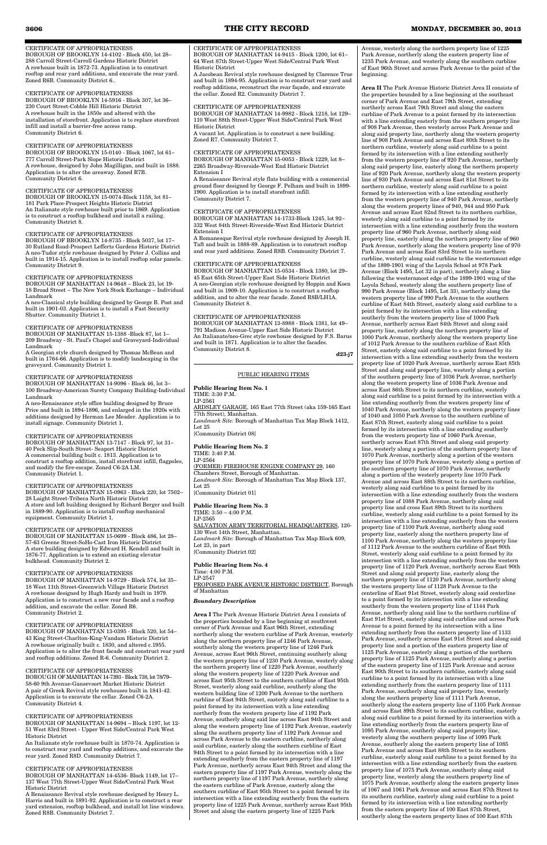CERTIFICATE OF APPROPRIATENESS BOROUGH OF BROOKLYN 14-4102 - Block 450, lot 28– 288 Carroll Street-Carroll Gardens Historic District A rowhouse built in 1872-73. Application is to construct rooftop and rear yard additions, and excavate the rear yard. Zoned R6B. Community District 6..

## CERTIFICATE OF APPROPRIATENESS

BOROUGH OF BROOKLYN 14-5916 - Block 307, lot 36– 230 Court Street-Cobble Hill Historic District A rowhouse built in the 1850s and altered with the installation of storefront. Application is to replace storefront infill and install a barrier-free access ramp. Community District 6.

## CERTIFICATE OF APPROPRIATENESS

BOROUGH OF BROOKLYN 15-0140 - Block 1067, lot 61– 777 Carroll Street-Park Slope Historic District A rowhouse, designed by John Magilligan, and built in 1888. Application is to alter the areaway. Zoned R7B. Community District 6.

## CERTIFICATE OF APPROPRIATENESS

BOROUGH OF BROOKLYN 15-0074-Block 1158, lot 81– 181 Park Place-Prospect Heights Historic District An Italianate style rowhouse built prior to 1869. Application is to construct a rooftop bulkhead and install a railing. Community District 8.

## CERTIFICATE OF APPROPRIATENESS

BOROUGH OF BROOKLYN 14-8735 - Block 5037, lot 17– 30 Rutland Road-Prospect Lefferts Gardens Historic District A neo-Tudor style rowhouse designed by Peter J. Collins and built in 1914-15. Application is to install rooftop solar panels. Community District 9.

## CERTIFICATE OF APPROPRIATENESS

BOROUGH OF MANHATTAN 14-9648 – Block 23, lot 19- 18 Broad Street – The New York Stock Exchange – Individual Landmark

A neo-Classical style building designed by George B. Post and built in 1901-03. Application is to install a Fast Security Shutter. Community District 1.

## CERTIFICATE OF APPROPRIATENESS

BOROUGH OF MANHATTAN 15-1388 -Block 87, lot 1– 209 Broadway - St. Paul's Chapel and Graveyard-Individual Landmark

A Georgian style church designed by Thomas McBean and built in 1764-66. Application is to modify landscaping in the graveyard. Community District 1.

## CERTIFICATE OF APPROPRIATENESS

BOROUGH OF MANHATTAN 14-9096 - Block 46, lot 3– 100 Broadway-American Surety Company Building-Individual Landmark

A neo-Renaissance style office building designed by Bruce Price and built in 1894-1896, and enlarged in the 1920s with additions designed by Herman Lee Meader. Application is to install signage. Community District 1.

## CERTIFICATE OF APPROPRIATENESS

BOROUGH OF MANHATTAN 13-7147 - Block 97, lot 31– 40 Peck Slip-South Street- Seaport Historic District A commercial building built c. 1813. Application is to construct a rooftop addition, install storefront infill, flagpoles, and modify the fire-escape. Zoned C6-2A LM. Community District 1.

## CERTIFICATE OF APPROPRIATENESS

BOROUGH OF MANHATTAN 15-0963 - Block 220, lot 7502– 28 Laight Street-Tribeca North Historic District A store and loft building designed by Richard Berger and built in 1889-90. Application is to install rooftop mechanical equipment. Community District 1.

## CERTIFICATE OF APPROPRIATENESS

BOROUGH OF MANHATTAN 15-0699 - Block 486, lot 28– 57-63 Greene Street-SoHo-Cast Iron Historic District A store building designed by Edward H. Kendell and built in 1876-77. Application is to extend an existing elevator bulkhead. Community District 2.

BOROUGH OF MANHATTAN 13-8988 - Block 1381, lot 49– 791 Madison Avenue-Upper East Side Historic District An Italianate/neo-Grec style rowhouse designed by F.S. Barus and built in 1871. Application is to alter the facades. Community District 8. **d23-j7** 

## CERTIFICATE OF APPROPRIATENESS BOROUGH OF MANHATTAN 14-9729 - Block 574, lot 35– 18 West 11th Street-Greenwich Village Historic District A rowhouse designed by Hugh Hardy and built in 1979. Application is to construct a new rear facade and a rooftop addition, and excavate the cellar. Zoned R6. Community District 2.

CERTIFICATE OF APPROPRIATENESS BOROUGH OF MANHATTAN 13-0395 - Block 520, lot 54– 43 King Street-Charlton-King-Vandam Historic District A rowhouse originally built c. 1830, and altered c.1955. Application is to alter the front facade and construct rear yard and rooftop additions. Zoned R-6. Community District 2.

## CERTIFICATE OF APPROPRIATENESS BOROUGH OF MANHATTAN 14-7393 - Block 738, lot 78/79– 58-60 9th Avenue-Gansevoort Market Historic District A pair of Greek Revival style rowhouses built in 1841-42. Application is to excavate the cellar. Zoned C6-2A. Community District 4.

#### CERTIFICATE OF APPROPRIATENESS BOROUGH OF MANHATTAN 14-9694 – Block 1197, lot 12- 51 West 83rd Street - Upper West Side/Central Park West Historic District

An Italianate style rowhouse built in 1870-74. Application is to construct rear yard and rooftop additions, and excavate the rear yard. Zoned R8D. Community District 7.

## CERTIFICATE OF APPROPRIATENESS

BOROUGH OF MANHATTAN 14-4536- Block 1149, lot 17– 137 West 77th Street-Upper West Side/Central Park West Historic District

A Renaissance Revival style rowhouse designed by Henry L. Harris and built in 1891-92. Application is to construct a rear yard extension, rooftop bulkhead, and install lot line windows. Zoned R8B. Community District 7.

## CERTIFICATE OF APPROPRIATENESS BOROUGH OF MANHATTAN 14-9415 - Block 1200, lot 61– 64 West 87th Street-Upper West Side/Central Park West Historic District

A Jacobean Revival style rowhouse designed by Clarence True and built in 1894-95. Application is to construct rear yard and rooftop additions, reconstruct the rear façade, and excavate the cellar. Zoned R2. Community District 7.

## CERTIFICATE OF APPROPRIATENESS

BOROUGH OF MANHATTAN 14-9982 - Block 1218, lot 129– 110 West 88th Street-Upper West Side/Central Park West Historic District

A vacant lot. Application is to construct a new building. Zoned R7. Community District 7.

## CERTIFICATE OF APPROPRIATENESS

BOROUGH OF MANHATTAN 15-0053 - Block 1229, lot 8– 2265 Broadway-Riverside-West End Historic District Extension I

A Renaissance Revival style flats building with a commercial ground floor designed by George F. Pelham and built in 1899- 1900. Application is to install storefront infill. Community District 7.

## CERTIFICATE OF APPROPRIATENESS

BOROUGH OF MANHATTAN 14-1733-Block 1245, lot 92– 332 West 84th Street-Riverside-West End Historic District Extension I

A Romanesque Revival style rowhouse designed by Joseph H. Taft and built in 1888-89. Application is to construct rooftop and rear yard additions. Zoned R8B. Community District 7.

## CERTIFICATE OF APPROPRIATENESS

BOROUGH OF MANHATTAN 15-0534 - Block 1380, lot 29– 45 East 65th Street-Upper East Side Historic District A neo-Georgian style rowhouse designed by Hoppin and Koen and built in 1909-10. Application is to construct a rooftop addition, and to alter the rear facade. Zoned R8B/LH1A. Community District 8.

## CERTIFICATE OF APPROPRIATENESS

## PUBLIC HEARING ITEMS

**Public Hearing Item No. 1** TIME: 3:30 P.M. LP-2561 ARDSLEY GARAGE, 165 East 77th Street (aka 159-165 East

77th Street), Manhattan. *Landmark Site:* Borough of Manhattan Tax Map Block 1412, Lot 25 [Community District 08]

## **Public Hearing Item No. 2**

TIME: 3:40 P.M.

LP-2564

(FORMER) FIREHOUSE ENGINE COMPANY 29, 160 Chambers Street, Borough of Manhattan. *Landmark Site:* Borough of Manhattan Tax Map Block 137, Lot 25 [Community District 01]

**Public Hearing Item No. 3** TIME: 3:50 – 4:00 P.M. LP-2565 SALVATION ARMY TERRITORIAL HEADQUARTERS, 120-130 West 14th Street, Manhattan. *Landmark Site:* Borough of Manhattan Tax Map Block 609, Lot 23, in part [Community District 02]

**Public Hearing Item No. 4** Time: 4:00 P.M. LP-2547 PROPOSED PARK AVENUE HISTORIC DISTRICT, Borough of Manhattan

## *Boundary Description*

**Area I** The Park Avenue Historic District Area I consists of the properties bounded by a line beginning at southwest corner of Park Avenue and East 96th Street, extending northerly along the western curbline of Park Avenue, westerly along the northern property line of 1246 Park Avenue, southerly along the western property line of 1246 Park Avenue, across East 96th Street, continuing southerly along the western property line of 1230 Park Avenue, westerly along the northern property line of 1220 Park Avenue, southerly along the western property line of 1220 Park Avenue and across East 95th Street to the southern curbline of East 95th Street, westerly along said curbline, southerly along the western building line of 1200 Park Avenue to the northern curbline of East 94th Street, easterly along said curbline to a point formed by its intersection with a line extending northerly from the western property line of 1192 Park Avenue, southerly along said line across East 94th Street and along the western property line of 1192 Park Avenue, easterly along the southern property line of 1192 Park Avenue and across Park Avenue to the eastern curbline, northerly along said curbline, easterly along the southern curbline of East 94th Street to a point formed by its intersection with a line extending southerly from the eastern property line of 1197 Park Avenue, northerly across East 94th Street and along the eastern property line of 1197 Park Avenue, westerly along the northern property line of 1197 Park Avenue, northerly along the eastern curbline of Park Avenue, easterly along the southern curbline of East 95th Street to a point formed by its intersection with a line extending southerly from the eastern property line of 1225 Park Avenue, northerly across East 95th Street and along the eastern property line of 1225 Park

Avenue, westerly along the northern property line of 1225 Park Avenue, northerly along the eastern property line of 1235 Park Avenue, and westerly along the southern curbline of East 96th Street and across Park Avenue to the point of the beginning.

**Area II** The Park Avenue Historic District Area II consists of the properties bounded by a line beginning at the southeast corner of Park Avenue and East 79th Street, extending northerly across East 79th Street and along the eastern curbline of Park Avenue to a point formed by its intersection with a line extending easterly from the southern property line of 908 Park Avenue, then westerly across Park Avenue and along said property line, northerly along the western property line of 908 Park Avenue and across East 80th Street to its northern curbline, westerly along said curbline to a point formed by its intersection with a line extending southerly from the western property line of 920 Park Avenue, northerly along said property line, easterly along the northern property line of 920 Park Avenue, northerly along the western property line of 930 Park Avenue and across East 81st Street to its northern curbline, westerly along said curbline to a point formed by its intersection with a line extending southerly from the western property line of 940 Park Avenue, northerly along the western property lines of 940, 944 and 950 Park Avenue and across East 82nd Street to its northern curbline, westerly along said curbline to a point formed by its intersection with a line extending southerly from the western property line of 960 Park Avenue, northerly along said property line, easterly along the northern property line of 960 Park Avenue, northerly along the western property line of 970 Park Avenue and across East 83rd Street to its northern curbline, westerly along said curbline to the westernmost edge of the 1899-1901 wing of the Loyola School at 978 Park Avenue (Block 1495, Lot 32 in part), northerly along a line following the westernmost edge of the 1899-1901 wing of the Loyola School, westerly along the southern property line of 990 Park Avenue (Block 1495, Lot 33), northerly along the western property line of 990 Park Avenue to the southern curbline of East 84th Street, easterly along said curbline to a point formed by its intersection with a line extending southerly from the western property line of 1000 Park Avenue, northerly across East 84th Street and along said property line, easterly along the northern property line of 1000 Park Avenue, northerly along the western property line of 1012 Park Avenue to the southern curbline of East 85th Street, easterly along said curbline to a point formed by its intersection with a line extending southerly from the western property line of 1020 Park Avenue, northerly across East 85th Street and along said property line, westerly along a portion of the southern property line of 1036 Park Avenue, northerly along the western property line of 1036 Park Avenue and across East 86th Street to its northern curbline, westerly along said curbline to a point formed by its intersection with a line extending southerly from the western property line of 1040 Park Avenue, northerly along the western property lines of 1040 and 1050 Park Avenue to the southern curbline of East 87th Street, easterly along said curbline to a point formed by its intersection with a line extending southerly from the western property line of 1060 Park Avenue, northerly across East 87th Street and along said property line, westerly along a portion of the southern property line of 1070 Park Avenue, northerly along a portion of the western property line of 1070 Park Avenue, westerly along a portion of the southern property line of 1070 Park Avenue, northerly along a portion of the westerly property line 1070 Park Avenue and across East 88th Street to its northern curbline, westerly along said curbline to a point formed by its intersection with a line extending southerly from the western property line of 1088 Park Avenue, northerly along said property line and cross East 89th Street to its northern curbline, westerly along said curbline to a point formed by its intersection with a line extending southerly from the western property line of 1100 Park Avenue, northerly along said property line, easterly along the northern property line of 1100 Park Avenue, northerly along the western property line of 1112 Park Avenue to the southern curbline of East 90th Street, westerly along said curbline to a point formed by its intersection with a line extending southerly from the western property line of 1120 Park Avenue, northerly across East 90th Street and along said property line, easterly along the northern property line of 1120 Park Avenue, northerly along the western property line of 1128 Park Avenue to the centerline of East 91st Street, westerly along said centerline to a point formed by its intersection with a line extending southerly from the western property line of 1144 Park Avenue, northerly along said line to the northern curbline of East 91st Street, easterly along said curbline and across Park Avenue to a point formed by its intersection with a line extending northerly from the eastern property line of 1133 Park Avenue, southerly across East 91st Street and along said property line and a portion of the eastern property line of 1125 Park Avenue, easterly along a portion of the northern property line of 1125 Park Avenue, southerly along a portion of the eastern property line of 1125 Park Avenue and across East 90th Street to its southern curbline, easterly along said curbline to a point formed by its intersection with a line extending northerly from the eastern property line of 1111 Park Avenue, southerly along said property line, westerly along the southern property line of 1111 Park Avenue, southerly along the eastern property line of 1105 Park Avenue and across East 89th Street to its southern curbline, easterly along said curbline to a point formed by its intersection with a line extending northerly from the eastern property line of 1095 Park Avenue, southerly along said property line, westerly along the southern property line of 1095 Park Avenue, southerly along the eastern property line of 1085 Park Avenue and across East 88th Street to its southern curbline, easterly along said curbline to a point formed by its intersection with a line extending northerly from the eastern property line of 1075 Park Avenue, southerly along said property line, westerly along the southern property line of 1075 Park Avenue, southerly along the eastern property lines of 1067 and 1061 Park Avenue and across East 87th Street to its southern curbline, easterly along said curbline to a point formed by its intersection with a line extending northerly from the eastern property line of 100 East 87th Street, southerly along the eastern property lines of 100 East 87th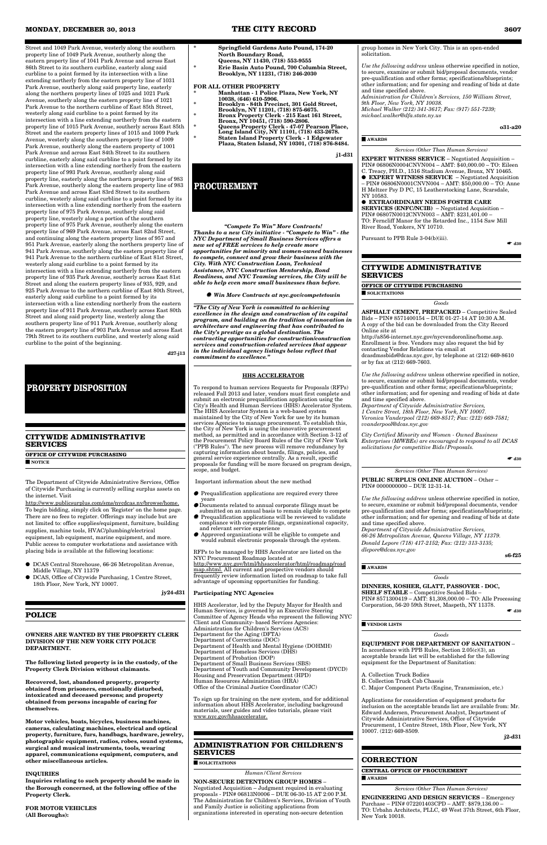Street and 1049 Park Avenue, westerly along the southern property line of 1049 Park Avenue, southerly along the eastern property line of 1041 Park Avenue and across East 86th Street to its southern curbline, easterly along said curbline to a point formed by its intersection with a line extending northerly from the eastern property line of 1031 Park Avenue, southerly along said property line, easterly along the northern property lines of 1025 and 1021 Park Avenue, southerly along the eastern property line of 1021 Park Avenue to the northern curbline of East 85th Street, westerly along said curbline to a point formed by its intersection with a line extending northerly from the eastern property line of 1015 Park Avenue, southerly across East 85th Street and the eastern property lines of 1015 and 1009 Park Avenue, westerly along the southern property line of 1009 Park Avenue, southerly along the eastern property of 1001 Park Avenue and across East 84th Street to its southern curbline, easterly along said curbline to a point formed by its intersection with a line extending northerly from the eastern property line of 993 Park Avenue, southerly along said property line, easterly along the northern property line of 983 Park Avenue, southerly along the eastern property line of 983 Park Avenue and across East 83rd Street to its southern curbline, westerly along said curbline to a point formed by its intersection with a line extending northerly from the eastern property line of 975 Park Avenue, southerly along said property line, westerly along a portion of the southern property line of 975 Park Avenue, southerly along the eastern property line of 969 Park Avenue, across East 82nd Street, and continuing along the eastern property lines of 957 and 951 Park Avenue, easterly along the northern property line of 941 Park Avenue, southerly along the eastern property line of 941 Park Avenue to the northern curbline of East 81st Street, westerly along said curbline to a point formed by its intersection with a line extending northerly from the eastern property line of 935 Park Avenue, southerly across East 81st Street and along the eastern property lines of 935, 929, and 925 Park Avenue to the northern curbline of East 80th Street, easterly along said curbline to a point formed by its intersection with a line extending northerly from the eastern property line of 911 Park Avenue, southerly across East 80th Street and along said property line, westerly along the southern property line of 911 Park Avenue, southerly along the eastern property line of 903 Park Avenue and across East 79th Street to its southern curbline, and westerly along said curbline to the point of the beginning.

**d27-j13**

## **CITYWIDE ADMINISTRATIVE SERVICES**

**OFFICE OF CITYWIDE PURCHASING** ■ **NOTICE**

The Department of Citywide Administrative Services, Office of Citywide Purchasing is currently selling surplus assets on the internet. Visit

http://www.publicsurplus.com/sms/nycdcas.ny/browse/home. To begin bidding, simply click on 'Register' on the home page. There are no fees to register. Offerings may include but are not limited to: office supplies/equipment, furniture, building supplies, machine tools, HVAC/plumbing/electrical equipment, lab equipment, marine equipment, and more. Public access to computer workstations and assistance with placing bids is available at the following locations:

- DCAS Central Storehouse, 66-26 Metropolitan Avenue, Middle Village, NY 11379
- DCAS, Office of Citywide Purchasing, 1 Centre Street, 18th Floor, New York, NY 10007.

**jy24-d31**

## **OWNERS ARE WANTED BY THE PROPERTY CLERK DIVISION OF THE NEW YORK CITY POLICE DEPARTMENT.**

**The following listed property is in the custody, of the Property Clerk Division without claimants.**

**Recovered, lost, abandoned property, property obtained from prisoners, emotionally disturbed, intoxicated and deceased persons; and property obtained from persons incapable of caring for themselves.**

**Motor vehicles, boats, bicycles, business machines, cameras, calculating machines, electrical and optical property, furniture, furs, handbags, hardware, jewelry, photographic equipment, radios, robes, sound systems, surgical and musical instruments, tools, wearing apparel, communications equipment, computers, and other miscellaneous articles.**

## **INQUIRIES**

**Inquiries relating to such property should be made in the Borough concerned, at the following office of the Property Clerk.**

**FOR MOTOR VEHICLES (All Boroughs):**

- **\* Springfield Gardens Auto Pound, 174-20 North Boundary Road,**
- **Queens, NY 11430, (718) 553-9555 \* Erie Basin Auto Pound, 700 Columbia Street,**
- **Brooklyn, NY 11231, (718) 246-2030**

## **FOR ALL OTHER PROPERTY**

- **\* Manhattan 1 Police Plaza, New York, NY 10038, (646) 610-5906.**
- **\* Brooklyn 84th Precinct, 301 Gold Street,**
- **Brooklyn, NY 11201, (718) 875-6675. \* Bronx Property Clerk - 215 East 161 Street,**
- **Bronx, NY 10451, (718) 590-2806. \* Queens Property Clerk - 47-07 Pearson Place,**
- **Long Island City, NY 11101, (718) 433-2678. \* Staten Island Property Clerk - 1 Edgewater Plaza, Staten Island, NY 10301, (718) 876-8484.**

**j1-d31**

*"Compete To Win" More Contracts! Thanks to a new City initiative - "Compete to Win" - the NYC Department of Small Business Services offers a new set of FREE services to help create more opportunities for minority and women-owned businesses to compete, connect and grow their business with the City. With NYC Construction Loan, Technical Assistance, NYC Construction Mentorship, Bond Readiness, and NYC Teaming services, the City will be able to help even more small businesses than before.*

● *Win More Contracts at nyc.gov/competetowin*

*"The City of New York is committed to achieving excellence in the design and construction of its capital program, and building on the tradition of innovation in architecture and engineering that has contributed to the City's prestige as a global destination. The contracting opportunities for construction/construction services and construction-related services that appear in the individual agency listings below reflect that commitment to excellence."*

> **DINNERS, KOSHER, GLATT, PASSOVER - DOC, SHELF STABLE** – Competitive Sealed Bids – PIN# 8571300419 – AMT: \$1,308,000.00 – TO: Alle Processing Corporation, 56-20 59th Street, Maspeth, NY 11378. ↑

## **HHS ACCELERATOR**

To respond to human services Requests for Proposals (RFPs) released Fall 2013 and later, vendors must first complete and submit an electronic prequalification application using the City's Health and Human Services (HHS) Accelerator System. The HHS Accelerator System is a web-based system maintained by the City of New York for use by its human services Agencies to manage procurement. To establish this, the City of New York is using the innovative procurement method, as permitted and in accordance with Section 3-12 of the Procurement Policy Board Rules of the City of New York ("PPB Rules"). The new process will remove redundancy by capturing information about boards, filings, policies, and general service experience centrally. As a result, specific proposals for funding will be more focused on program design, scope, and budget.

Important information about the new method

- Prequalification applications are required every three
- years ● Documents related to annual corporate filings must be
- submitted on an annual basis to remain eligible to compete  $\bullet$  Prequalification applications will be reviewed to validate
- compliance with corporate filings, organizational capacity, and relevant service experience ● Approved organizations will be eligible to compete and
- would submit electronic proposals through the system.

RFPs to be managed by HHS Accelerator are listed on the NYC Procurement Roadmap located at

http://www.nyc.gov/html/hhsaccelerator/html/roadmap/road map.shtml. All current and prospective vendors should frequently review information listed on roadmap to take full advantage of upcoming opportunities for funding.

## **Participating NYC Agencies**

HHS Accelerator, led by the Deputy Mayor for Health and Human Services, is governed by an Executive Steering Committee of Agency Heads who represent the following NYC

Client and Community- based Services Agencies: Administration for Children's Services (ACS) Department for the Aging (DFTA) Department of Corrections (DOC) Department of Health and Mental Hygiene (DOHMH) Department of Homeless Services (DHS) Department of Probation (DOP) Department of Small Business Services (SBS) Department of Youth and Community Development (DYCD) Housing and Preservation Department (HPD) Human Resources Administration (HRA) Office of the Criminal Justice Coordinator (CJC)

To sign up for training on the new system, and for additional information about HHS Accelerator, including background materials, user guides and video tutorials, please visit www.nyc.gov/hhsaccelerator.

## **ADMINISTRATION FOR CHILDREN'S SERVICES**

■ **SOLICITATIONS**

*Human/Client Services*

## **NON-SECURE DETENTION GROUP HOMES** –

Negotiated Acquisition – Judgment required in evaluating proposals - PIN# 06813N0006 – DUE 06-30-15 AT 2:00 P.M. The Administration for Children's Services, Division of Youth and Family Justice is soliciting applications from organizations interested in operating non-secure detention

group homes in New York City. This is an open-ended solicitation.

*Use the following address* unless otherwise specified in notice, to secure, examine or submit bid/proposal documents, vendor pre-qualification and other forms; specifications/blueprints; other information; and for opening and reading of bids at date and time specified above.

*Administration for Children's Services, 150 William Street, 9th Floor, New York, NY 10038.* 

*Michael Walker (212) 341-3617; Fax: (917) 551-7239;*

*michael.walker@dfa.state.ny.us*

**o31-a20**

## ■ **AWARDS**

*Services (Other Than Human Services)*

**EXPERT WITNESS SERVICE** – Negotiated Acquisition – PIN# 06806N0004CNVN004 – AMT: \$40,000.00 – TO: Eileen

- C. Treacy, PH.D., 1516 Stadium Avenue, Bronx, NY 10465. ● **EXPERT WITNESS SERVICE** – Negotiated Acquisition
- PIN# 06806N0001CNVN004 AMT: \$50,000.00 TO: Anne H Meltzer Psy D PC, 15 Leatherstocking Lane, Scarsdale, NY 10583.

## ● **EXTRAORDINARY NEEDS FOSTER CARE**

**SERVICES (ENFC/NCIB)** – Negotiated Acquisition – PIN# 06807N0012CNVN003 – AMT: \$231,401.00 – TO: Ferncliff Manor for the Retarded Inc., 1154 Saw Mill River Road, Yonkers, NY 10710.

Pursuant to PPB Rule 3-04(b)(iii).

## **CITYWIDE ADMINISTRATIVE SERVICES**

**OFFICE OF CITYWIDE PURCHASING**

■ **SOLICITATIONS**

 $\bullet$  d<sub>30</sub>

*Goods*

**ASPHALT CEMENT, PREPACKED** – Competitive Sealed Bids – PIN# 8571400154 – DUE 01-27-14 AT 10:30 A.M. A copy of the bid can be downloaded from the City Record Online site at

http://a856-internet.nyc.gov/nycvendoronline/home.asp. Enrollment is free. Vendors may also request the bid by contacting Vendor Relations via email at dcasdmssbids@dcas.nyc.gov, by telephone at (212) 669-8610 or by fax at (212) 669-7603.

*Use the following address* unless otherwise specified in notice, to secure, examine or submit bid/proposal documents, vendor pre-qualification and other forms; specifications/blueprints; other information; and for opening and reading of bids at date and time specified above.

*Department of Citywide Administrative Services, 1 Centre Street, 18th Floor, New York, NY 10007. Veronica Vanderpool (212) 669-8517; Fax: (212) 669-7581; vvanderpool@dcas.nyc.gov*

*City Certified Minority and Women - Owned Business Enterprises (M/WBEs) are encouraged to respond to all DCAS solicitations for competitive Bids/Proposals.*

## $\bullet$  d<sub>30</sub>

*Services (Other Than Human Services)*

**PUBLIC SURPLUS ONLINE AUCTION** – Other – PIN# 0000000000 – DUE 12-31-14.

*Use the following address* unless otherwise specified in notice, to secure, examine or submit bid/proposal documents, vendor pre-qualification and other forms; specifications/blueprints; other information; and for opening and reading of bids at date and time specified above.

*Department of Citywide Administrative Services, 66-26 Metropolitan Avenue, Queens Village, NY 11379. Donald Lepore (718) 417-2152; Fax: (212) 313-3135; dlepore@dcas.nyc.gov*

**s6-f25** 

■ **AWARDS**

## *Goods*

#### ■ **VENDOR LISTS**

*Goods*

## **EQUIPMENT FOR DEPARTMENT OF SANITATION** –

In accordance with PPB Rules, Section 2.05(c)(3), an acceptable brands list will be established for the following equipment for the Department of Sanitation:

A. Collection Truck Bodies B. Collection Truck Cab Chassis C. Major Component Parts (Engine, Transmission, etc.)

Applications for consideration of equipment products for inclusion on the acceptable brands list are available from: Mr. Edward Andersen, Procurement Analyst, Department of Citywide Administrative Services, Office of Citywide Procurement, 1 Centre Street, 18th Floor, New York, NY 10007. (212) 669-8509.

 $j2-d31$ 

## **CORRECTION**

**CENTRAL OFFICE OF PROCUREMENT**

■ **AWARDS**

*Services (Other Than Human Services)*

**ENGINEERING AND DESIGN SERVICES** – Emergency Purchase – PIN# 072201403CPD – AMT: \$879,136.00 – TO: Urbahn Architects, PLLC, 49 West 37th Street, 6th Floor, New York 10018.

## **PROPERTY DISPOSITION**

# **PROCUREMENT**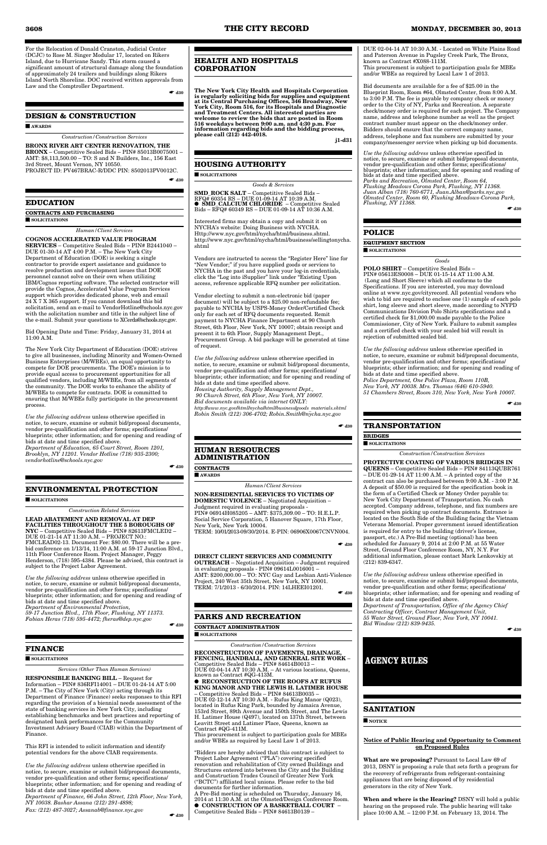For the Relocation of Donald Cranston, Judicial Center (DCJC) to Rose M. Singer Modular 17, located on Rikers Island, due to Hurricane Sandy. This storm caused a significant amount of structural damage along the foundation of approximately 24 trailers and buildings along Rikers Island North Shoreline. DOC received written approvals from Law and the Comptroller Department.

 $\bullet$  d<sub>30</sub>

## **DESIGN & CONSTRUCTION**

#### ■ **AWARDS**

*Construction/Construction Services*

**BRONX RIVER ART CENTER RENOVATION, THE BRONX** – Competitive Sealed Bids – PIN# 85013B0075001 – AMT: \$8,113,500.00 – TO: S and N Builders, Inc., 156 East 3rd Street, Mount Vernon, NY 10550. PROJECT ID: PV467BRAC-R/DDC PIN: 8502013PV0012C.

 $\bullet$  d<sub>30</sub>

## **EDUCATION**

**CONTRACTS AND PURCHASING** ■ **SOLICITATIONS**

*Human/Client Services*

**COGNOS ACCELERATED VALUE PROGRAM SERVICES** – Competitive Sealed Bids – PIN# B2441040 – DUE 01-30-14 AT 4:00 P.M. – The New York City Department of Education (DOE) is seeking a single contractor to provide expert assistance and guidance to resolve production and development issues that DOE personnel cannot solve on their own when utilizing IBM/Cognos reporting software. The selected contractor will provide the Cognos, Accelerated Value Program Services support which provides dedicated phone, web and email 24 X 7 X 365 support. If you cannot download this bid solicitation, send an e-mail to VendorHotline@schools.nyc.gov with the solicitation number and title in the subject line of the e-mail. Submit your questions to XCerda@schools.nyc.gov.

Bid Opening Date and Time: Friday, January 31, 2014 at 11:00 A.M.

The New York City Department of Education (DOE) strives to give all businesses, including Minority and Women-Owned Business Enterprises (M/WBEs), an equal opportunity to compete for DOE procurements. The DOE's mission is to provide equal access to procurement opportunities for all qualified vendors, including M/WBEs, from all segments of the community. The DOE works to enhance the ability of M/WBEs to compete for contracts. DOE is committed to ensuring that M/WBEs fully participate in the procurement process.

*Use the following address* unless otherwise specified in notice, to secure, examine or submit bid/proposal documents, vendor pre-qualification and other forms; specifications/ blueprints; other information; and for opening and reading of bids at date and time specified above. *Department of Education, 65 Court Street, Room 1201, Brooklyn, NY 11201. Vendor Hotline (718) 935-2300;*

*vendorhotline@schools.nyc.gov*

 $\bullet$  d<sub>30</sub>

## **ENVIRONMENTAL PROTECTION**

#### ■ **SOLICITATIONS**

*Construction Related Services*

**LEAD ABATEMENT AND REMOVAL AT DEP FACILITIES THROUGHOUT THE 5 BOROUGHS OF NYC** – Competitive Sealed Bids – PIN# 82613FMCLED2 – DUE 01-21-14 AT 11:30 A.M. – PROJECT NO.: FMCLEAD02-13. Document Fee: \$80.00. There will be a prebid conference on 1/13/14, 11:00 A.M. at 59-17 Junction Blvd., 11th Floor Conference Room. Project Manager, Peggy Henderson, (718) 595-4384. Please be advised, this contract is subject to the Project Labor Agreement.

*Use the following address* unless otherwise specified in notice, to secure, examine or submit bid/proposal documents, vendor pre-qualification and other forms; specifications/ blueprints; other information; and for opening and reading of bids at date and time specified above. *Department of Environmental Protection, 59-17 Junction Blvd., 17th Floor, Flushing, NY 11373. Fabian Heras (718) 595-4472; fheras@dep.nyc.gov*

# **FINANCE**

## ■ **SOLICITATIONS**

#### *Services (Other Than Human Services)*

in evaluating proposals - PIN# 09614L0016001 – AMT: \$200,000.00 – TO: NYC Gay and Lesbian Anti-Violence Project, 240 West 35th Street, New York, NY 10001. TERM: 7/1/2013 - 6/30/2014. PIN: 14LHEEI01201.  $\bullet$  d<sub>30</sub>

**RESPONSIBLE BANKING BILL** – Request for Information – PIN# 836RFI14001 – DUE 01-24-14 AT 5:00 P.M. – The City of New York (City) acting through its Department of Finance (Finance) seeks responses to this RFI regarding the provision of a biennial needs assessment of the state of banking services in New York City, including establishing benchmarks and best practices and reporting of designated bank performances for the Community Investment Advisory Board (CIAB) within the Department of Finance.

This RFI is intended to solicit information and identify potential vendors for the above CIAB requirements.

*Use the following address* unless otherwise specified in notice, to secure, examine or submit bid/proposal documents, vendor pre-qualification and other forms; specifications/ blueprints; other information; and for opening and reading of bids at date and time specified above. *Department of Finance, 66 John Street, 12th Floor, New York, NY 10038. Bashar Assana (212) 291-4898; Fax: (212) 487-3027; Assanab@finance.nyc.gov*

☛ **d30**

## **HEALTH AND HOSPITALS CORPORATION**

**The New York City Health and Hospitals Corporation is regularly soliciting bids for supplies and equipment at its Central Purchasing Offices, 346 Broadway, New York City, Room 516, for its Hospitals and Diagnostic and Treatment Centers. All interested parties are welcome to review the bids that are posted in Room 516 weekdays between 9:00 a.m. and 4:30 p.m. For information regarding bids and the bidding process, please call (212) 442-4018.**

**j1-d31** 00-000000

## **HOUSING AUTHORITY**

■ **SOLICITATIONS**

#### *Goods & Services*

**SMD\_ROCK SALT** – Competitive Sealed Bids – RFQ# 60354 RS – DUE 01-09-14 AT 10:39 A.M. ● **SMD\_CALCIUM CHLORIDE** – Competitive Sealed Bids – RFQ# 60349 RS – DUE 01-09-14 AT 10:36 A.M.

Interested firms may obtain a copy and submit it on NYCHA's website: Doing Business with NYCHA. Http://www.nyc.gov/html/nycha/html/business.shtml. http://www.nyc.gov/html/nycha/html/business/sellingtonycha. shtml

Vendors are instructed to access the "Register Here" line for "New Vendor;" if you have supplied goods or services to NYCHA in the past and you have your log-in credentials, click the "Log into iSupplier" link under "Existing Upon access, reference applicable RFQ number per solicitation.

Vendor electing to submit a non-electronic bid (paper document) will be subject to a \$25.00 non-refundable fee; payable to NYCHA by USPS-Money Order/Certified Check only for each set of RFQ documents requested. Remit payment to NYCHA Finance Department at 90 Church Street, 6th Floor, New York, NY 10007; obtain receipt and present it to 6th Floor, Supply Management Dept., Procurement Group. A bid package will be generated at time of request.

*Use the following address* unless otherwise specified in notice, to secure, examine or submit bid/proposal documents, vendor pre-qualification and other forms; specifications/ blueprints; other information; and for opening and reading of bids at date and time specified above. *Housing Authority, Supply Management Dept., 90 Church Street, 6th Floor, New York, NY 10007. Bid documents available via internet ONLY: http://www.nyc.gov/html/nycha/html/business/goods\_materials.shtml Robin Smith (212) 306-4702; Robin.Smith@nycha.nyc.gov*

 $\bullet$  d<sub>30</sub>

## **HUMAN RESOURCES ADMINISTRATION**

**CONTRACTS**

■ **AWARDS**

*Human/Client Services*

**NON-RESIDENTIAL SERVICES TO VICTIMS OF DOMESTIC VIOLENCE** – Negotiated Acquisition – Judgment required in evaluating proposals - PIN# 06914H085205 – AMT: \$375,309.00 – TO: H.E.L.P. Social Service Corporation, 5 Hanover Square, 17th Floor, New York, New York 10004. TERM: 10/01/2013-09/30/2014. E-PIN: 06906X0067CNVN004.

 $\bullet$  d<sub>30</sub>

#### **DIRECT CLIENT SERVICES AND COMMUNITY OUTREACH** – Negotiated Acquisition – Judgment required

## **PARKS AND RECREATION**

**CONTRACT ADMINISTRATION**

■ **SOLICITATIONS**

*Construction/Construction Services*

#### **RECONSTRUCTION OF PAVEMENTS, DRAINAGE, FENCING, HANDBALL, AND GENERAL SITE WORK** – Competitive Sealed Bids – PIN# 84614B0013 – DUE 02-04-14 AT 10:30 A.M. – At various locations, Queens, known as Contract #QG-413M. ● **RECONSTRUCTION OF THE ROOFS AT RUFUS KING MANOR AND THE LEWIS H. LATIMER HOUSE**

– Competitive Sealed Bids – PIN# 84613B0035 – DUE 02-12-14 AT 10:30 A.M. - Rufus King Manor (Q023), located in Rufus King Park, bounded by Jamaica Avenue, 153rd Street, 89th Avenue and 150th Street, and The Lewis H. Latimer House (Q497), located on 137th Street, between Leavitt Street and Latimer Place, Queens, known as Contract #QG-411M.

This procurement is subject to participation goals for MBEs and/or WBEs as required by Local Law 1 of 2013.

"Bidders are hereby advised that this contract is subject to Project Labor Agreement ("PLA") covering specified renovation and rehabilitation of City owned Buildings and Structures entered into between the City and the Building and Construction Trades Council of Greater New York ("BCTC") affiliated local unions. Please refer to the bid documents for further information. A Pre-Bid meeting is scheduled on Thursday, January 16,

2014 at 11:30 A.M. at the Olmsted/Design Conference Room. ● **CONSTRUCTION OF A BASKETBALL COURT** –

Competitive Sealed Bids – PIN# 84613B0139 –

DUE 02-04-14 AT 10:30 A.M. - Located on White Plains Road and Paterson Avenue in Pugsley Creek Park, The Bronx, known as Contract #X088-111M. This procurement is subject to participation goals for MBEs and/or WBEs as required by Local Law 1 of 2013.

Bid documents are available for a fee of \$25.00 in the Blueprint Room, Room #64, Olmsted Center, from 8:00 A.M. to 3:00 P.M. The fee is payable by company check or money order to the City of NY, Parks and Recreation. A separate check/money order is required for each project. The Company name, address and telephone number as well as the project contract number must appear on the check/money order. Bidders should ensure that the correct company name, address, telephone and fax numbers are submitted by your company/messenger service when picking up bid documents.

*Use the following address* unless otherwise specified in notice, to secure, examine or submit bid/proposal documents, vendor pre-qualification and other forms; specifications/ blueprints; other information; and for opening and reading of bids at date and time specified above. *Parks and Recreation, Olmsted Center, Room 64, Flushing Meadows Corona Park, Flushing, NY 11368. Juan Alban (718) 760-6771, Juan.Alban@parks.nyc.gov Olmsted Center, Room 60, Flushing Meadows-Corona Park, Flushing, NY 11368.*

 $\bullet$  d<sub>30</sub>

## **POLICE**

**EQUIPMENT SECTION** ■ **SOLICITATIONS**

*Goods*

**POLO SHIRT** – Competitive Sealed Bids – PIN# 05613ES0008 – DUE 01-15-14 AT 11:00 A.M. (Long and Short Sleeve) which all conforms to the Specifications. If you are interested, you may download online at www.nyc.gov/cityrecord. All potential vendors who wish to bid are required to enclose one (1) sample of each polo shirt, long sleeve and short sleeve, made according to NYPD Communications Division Polo Shirts specifications and a certified check for \$1,000.00 made payable to the Police Commissioner, City of New York. Failure to submit samples and a certified check with your sealed bid will result in rejection of submitted sealed bid.

*Use the following address* unless otherwise specified in notice, to secure, examine or submit bid/proposal documents, vendor pre-qualification and other forms; specifications/ blueprints; other information; and for opening and reading of bids at date and time specified above. *Police Department, One Police Plaza, Room 110B, New York, NY 10038. Mrs. Thomas (646) 610-5940. 51 Chambers Street, Room 310, New York, New York 10007.*

☛ **d30**

## **TRANSPORTATION**

## **BRIDGES**

## ■ **SOLICITATIONS**

*Construction/Construction Services*

**PROTECTIVE COATING OF VARIOUS BRIDGES IN QUEENS** – Competitive Sealed Bids – PIN# 84113QUBR761 – DUE 01-29-14 AT 11:00 A.M. – A printed copy of the contract can also be purchased between 9:00 A.M. - 3:00 P.M. A deposit of  $$50.00$  is required for the specification book in the form of a Certified Check or Money Order payable to: New York City Department of Transportation. No cash accepted. Company address, telephone, and fax numbers are required when picking up contract documents. Entrance is located on the South Side of the Building facing the Vietnam Veterans Memorial. Proper government issued identification is required for entry to the building (driver's license, passport, etc.) A Pre-Bid meeting (optional) has been scheduled for January 9, 2014 at 2:00 P.M. at 55 Water Street, Ground Floor Conference Room, NY, N.Y. For additional information, please contact Mark Lenkovskiy at (212) 839-6347.

*Use the following address* unless otherwise specified in notice, to secure, examine or submit bid/proposal documents, vendor pre-qualification and other forms; specifications/ blueprints; other information; and for opening and reading of bids at date and time specified above. *Department of Transportation, Office of the Agency Chief Contracting Officer, Contract Management Unit, 55 Water Street, Ground Floor, New York, NY 10041.* 

## $\bullet$  d<sub>30</sub>

*Bid Window (212) 839-9435.*

## **SANITATION**

■ **NOTICE**

## **Notice of Public Hearing and Opportunity to Comment on Proposed Rules**

**What are we proposing?** Pursuant to Local Law 69 of 2013, DSNY is proposing a rule that sets forth a program for the recovery of refrigerants from refrigerant-containing appliances that are being disposed of by residential generators in the city of New York.

**When and where is the Hearing?** DSNY will hold a public hearing on the proposed rule. The public hearing will take place 10:00 A.M. – 12:00 P.M. on February 13, 2014. The

**AGENCY RULES**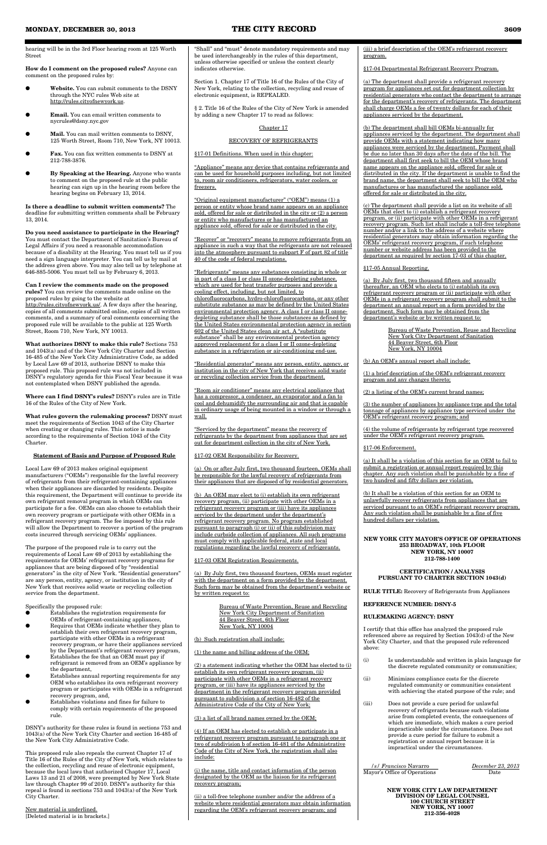hearing will be in the 3rd Floor hearing room at 125 Worth Street

**How do I comment on the proposed rules?** Anyone can comment on the proposed rules by:

- Website. You can submit comments to the DSNY through the NYC rules Web site at http://rules.cityofnewyork.us.
- Email. You can email written comments to nycrules@dsny.nyc.gov
- Mail. You can mail written comments to DSNY, 125 Worth Street, Room 710, New York, NY 10013.
- **Fax.** You can fax written comments to DSNY at 212-788-3876.
- By Speaking at the Hearing. Anyone who wants to comment on the proposed rule at the public hearing can sign up in the hearing room before the hearing begins on February 13, 2014.

**Is there a deadline to submit written comments?** The deadline for submitting written comments shall be February 13, 2014.

**Do you need assistance to participate in the Hearing?** You must contact the Department of Sanitation's Bureau of Legal Affairs if you need a reasonable accommodation because of a disability at the Hearing. You must tell us if you need a sign language interpreter. You can tell us by mail at the address given above. You may also tell us by telephone at 646-885-5006. You must tell us by February 6, 2013.

**Can I review the comments made on the proposed rules?** You can review the comments made online on the proposed rules by going to the website at http://rules.cityofnewyork.us/. A few days after the hearing, copies of all comments submitted online, copies of all written comments, and a summary of oral comments concerning the proposed rule will be available to the public at 125 Worth Street, Room 710, New York, NY 10013.

**What authorizes DSNY to make this rule?** Sections 753 and 1043(a) and of the New York City Charter and Section 16-485 of the New York City Administrative Code, as added by Local Law 69 of 2013, authorize DSNY to make this proposed rule. This proposed rule was not included in DSNY's regulatory agenda for this Fiscal Year because it was not contemplated when DSNY published the agenda.

**Where can I find DSNY's rules?** DSNY's rules are in Title 16 of the Rules of the City of New York.

● Establishes the registration requirements for OEMs of refrigerant-containing appliance Requires that OEMs indicate whether they plan to establish their own refrigerant recovery program, participate with other OEMs in a refrigerant recovery program, or have their appliances serviced by the Department's refrigerant recovery program,  $\vec{E}$ stablishes the fee that an OEM must pay if refrigerant is removed from an OEM's appliance by the department, Establishes annual reporting requirements for any OEM who establishes its own refrigerant recovery program or participates with OEMs in a refrigerant recovery program, and, Establishes violations and fines for failure to comply with certain requirements of the proposed rule.

**What rules govern the rulemaking process?** DSNY must meet the requirements of Section 1043 of the City Charter when creating or changing rules. This notice is made according to the requirements of Section 1043 of the City Charter.

## **Statement of Basis and Purpose of Proposed Rule**

Local Law 69 of 2013 makes original equipment manufacturers ("OEMs") responsible for the lawful recovery of refrigerants from their refrigerant-containing appliances when their appliances are discarded by residents. Despite this requirement, the Department will continue to provide its own refrigerant removal program in which OEMs can participate for a fee. OEMs can also choose to establish their own recovery program or participate with other OEMs in a refrigerant recovery program. The fee imposed by this rule will allow the Department to recover a portion of the program costs incurred through servicing OEMs' appliances.

"Appliance" means any device that contains refrigerants and can be used for household purposes including, but not limited to, room air conditioners, refrigerators, water coolers, or freezers.

The purpose of the proposed rule is to carry out the requirements of Local Law 69 of 2013 by establishing the requirements for OEMs' refrigerant recovery programs for appliances that are being disposed of by "residential generators" in the city of New York. "Residential generators" are any person, entity, agency, or institution in the city of New York that receives solid waste or recycling collection service from the department.

## Specifically the proposed rule:

(a) By July first, two thousand fourteen, OEMs must register with the department on a form provided by the department. Such form may be obtained from the department's website or by written request to:

DSNY's authority for these rules is found in sections 753 and 1043(a) of the New York City Charter and section 16-485 of the New York City Administrative Code.

This proposed rule also repeals the current Chapter 17 of Title 16 of the Rules of the City of New York, which relates to the collection, recycling and reuse of electronic equipment, because the local laws that authorized Chapter 17, Local Laws 13 and 21 of 2008, were preempted by New York State law through Chapter 99 of 2010. DSNY's authority for this repeal is found in sections 753 and 1043(a) of the New York City Charter.

(ii) a toll-free telephone number and/or the address of a website where residential generators may obtain information regarding the OEM's refrigerant recovery program; and

New material is underlined. [Deleted material is in brackets.] (iii) a brief description of the OEM's refrigerant recovery program.

"Shall" and "must" denote mandatory requirements and may be used interchangeably in the rules of this department, unless otherwise specified or unless the context clearly indicates otherwise.

Section 1. Chapter 17 of Title 16 of the Rules of the City of New York, relating to the collection, recycling and reuse of electronic equipment, is REPEALED.

§ 2. Title 16 of the Rules of the City of New York is amended by adding a new Chapter 17 to read as follows:

## Chapter 17

## RECOVERY OF REFRIGERANTS

§17-01 Definitions. When used in this chapter:

"Original equipment manufacturer" ("OEM") means (1) a person or entity whose brand name appears on an appliance sold, offered for sale or distributed in the city or (2) a person or entity who manufactures or has manufactured an appliance sold, offered for sale or distributed in the city.

"Recover" or "recovery" means to remove refrigerants from an appliance in such a way that the refrigerants are not released into the atmosphere pursuant to subpart F of part 82 of title 40 of the code of federal regulations.

"Refrigerants" means any substances consisting in whole or in part of a class I or class II ozone-depleting substance, which are used for heat transfer purposes and provide a cooling effect, including, but not limited, to chlorofluorocarbons, hydro-chlorofluorocarbons, or any other substitute substance as may be defined by the United States environmental protection agency. A class I or class II ozonedepleting substance shall be those substances as defined by the United States environmental protection agency in section 602 of the United States clean air act. A "substitute substance" shall be any environmental protection agency approved replacement for a class I or II ozone-depleting substance in a refrigeration or air-conditioning end-use.

"Residential generator" means any person, entity, agency, or institution in the city of New York that receives solid waste or recycling collection service from the department.

"Room air conditioner" means any electrical appliance that has a compressor, a condenser, an evaporator and a fan to cool and dehumidify the surrounding air and that is capable in ordinary usage of being mounted in a window or through a wall.

"Serviced by the department" means the recovery of refrigerants by the department from appliances that are set out for department collection in the city of New York.

§17-02 OEM Responsibility for Recovery.

(a) On or after July first, two thousand fourteen, OEMs shall be responsible for the lawful recovery of refrigerants from their appliances that are disposed of by residential generators.

(b) An OEM may elect to (i) establish its own refrigerant recovery program, (ii) participate with other OEMs in a refrigerant recovery program or (iii) have its appliances serviced by the department under the department's refrigerant recovery program. No program established pursuant to paragraph (i) or (ii) of this subdivision may include curbside collection of appliances. All such programs must comply with applicable federal, state and local regulations regarding the lawful recovery of refrigerants.

§17-03 OEM Registration Requirements.

Bureau of Waste Prevention, Reuse and Recycling New York City Department of Sanitation 44 Beaver Street, 6th Floor

New York, NY 10004

(b) Such registration shall include:

(1) the name and billing address of the OEM;

(2) a statement indicating whether the OEM has elected to (i) establish its own refrigerant recovery program, (ii) participate with other OEMs in a refrigerant recovery program, or (iii) have its appliances serviced by the department in the refrigerant recovery program provided pursuant to subdivision a of section 16-482 of the Administrative Code of the City of New York;

(3) a list of all brand names owned by the OEM;

(4) If an OEM has elected to establish or participate in a refrigerant recovery program pursuant to paragraph one or two of subdivision b of section 16-481 of the Administrative Code of the City of New York, the registration shall also include:

(i) the name, title and contact information of the person designated by the OEM as the liaison for its refrigerant recovery program;

§17-04 Departmental Refrigerant Recovery Program.

(a) The department shall provide a refrigerant recovery program for appliances set out for department collection by residential generators who contact the department to arrange for the department's recovery of refrigerants. The department shall charge OEMs a fee of twenty dollars for each of their appliances serviced by the department.

(b) The department shall bill OEMs bi-annually for appliances serviced by the department. The department shall provide OEMs with a statement indicating how many appliances were serviced by the department. Payment shall be due no later than 30 days after the date of the bill. The department shall first seek to bill the OEM whose brand name appears on the appliance sold, offered for sale or distributed in the city. If the department is unable to find the brand name, the department shall seek to bill the OEM who manufactures or has manufactured the appliance sold, offered for sale or distributed in the city.

(c) The department shall provide a list on its website of all OEMs that elect to (i) establish a refrigerant recovery program, or (ii) participate with other OEMs in a refrigerant recovery program. Such list shall include a toll-free telephone number and/or a link to the address of a website where residential generators may obtain information regarding the OEMs' refrigerant recovery program, if such telephone number or website address has been provided to the department as required by section 17-03 of this chapter.

§17-05 Annual Reporting.

(a) By July first, two thousand fifteen and annually thereafter, an OEM who elects to (i) establish its own refrigerant recovery program or (ii) participate with other OEMs in a refrigerant recovery program shall submit to the department an annual report on a form provided by the department. Such form may be obtained from the department's website or by written request to:

> Bureau of Waste Prevention, Reuse and Recycling New York City Department of Sanitation 44 Beaver Street, 6th Floor New York, NY 10004

(b) An OEM's annual report shall include:

(1) a brief description of the OEM's refrigerant recovery program and any changes thereto;

(2) a listing of the OEM's current brand names;

(3) the number of appliances by appliance type and the total tonnage of appliances by appliance type serviced under the OEM's refrigerant recovery program; and

(4) the volume of refrigerants by refrigerant type recovered under the OEM's refrigerant recovery program.

## §17-06 Enforcement.

(a) It shall be a violation of this section for an OEM to fail to submit a registration or annual report required by this chapter. Any such violation shall be punishable by a fine of two hundred and fifty dollars per violation.

(b) It shall be a violation of this section for an OEM to unlawfully recover refrigerants from appliances that are serviced pursuant to an OEM's refrigerant recovery program. Any such violation shall be punishable by a fine of five hundred dollars per violation.

## **NEW YORK CITY MAYOR'S OFFICE OF OPERATIONS 253 BROADWAY, 10th FLOOR NEW YORK, NY 10007 212-788-1400**

**CERTIFICATION / ANALYSIS PURSUANT TO CHARTER SECTION 1043(d)**

**RULE TITLE:** Recovery of Refrigerants from Appliances

**REFERENCE NUMBER: DSNY-5**

**RULEMAKING AGENCY: DSNY**

I certify that this office has analyzed the proposed rule referenced above as required by Section 1043(d) of the New York City Charter, and that the proposed rule referenced above:

- (i) Is understandable and written in plain language for the discrete regulated community or communities;
- (ii) Minimizes compliance costs for the discrete regulated community or communities consistent with achieving the stated purpose of the rule; and
- (iii) Does not provide a cure period for unlawful recovery of refrigerants because such violations arise from completed events, the consequences of which are immediate, which makes a cure period impracticable under the circumstances. Does not provide a cure period for failure to submit a registration or annual report because it is impractical under the circumstances.

 */s/ Francisco* Navarro *December 23, 2013* Mayor's Office of Operations Date

**NEW YORK CITY LAW DEPARTMENT DIVISION OF LEGAL COUNSEL 100 CHURCH STREET NEW YORK, NY 10007 212-356-4028**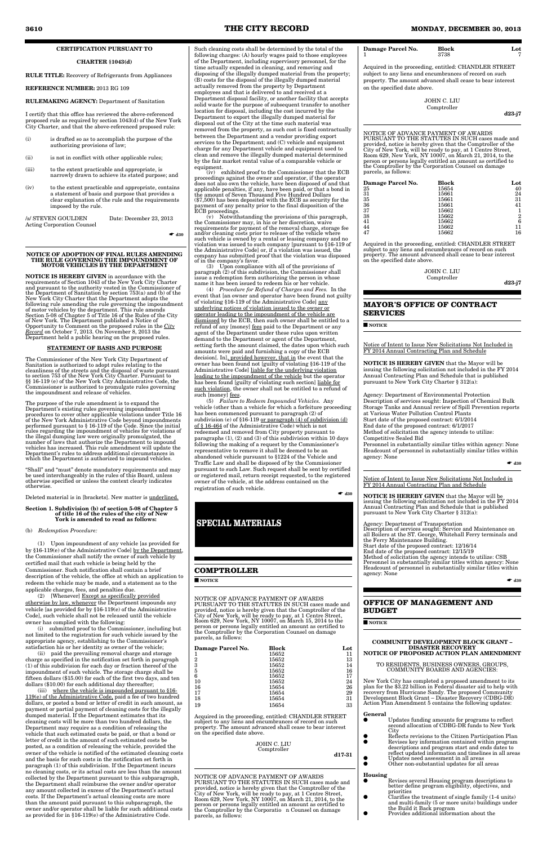## **CERTIFICATION PURSUANT TO**

## **CHARTER §1043(d)**

## **RULE TITLE:** Recovery of Refrigerants from Appliances

#### **REFERENCE NUMBER:** 2013 RG 109

#### **RULEMAKING AGENCY:** Department of Sanitation

I certify that this office has reviewed the above-referenced proposed rule as required by section 1043(d) of the New York City Charter, and that the above-referenced proposed rule:

- (i) is drafted so as to accomplish the purpose of the authorizing provisions of law;
- (ii) is not in conflict with other applicable rules;
- (iii) to the extent practicable and appropriate, is narrowly drawn to achieve its stated purpose; and
- (iv) to the extent practicable and appropriate, contains a statement of basis and purpose that provides a clear explanation of the rule and the requirements imposed by the rule.

| /s/ STEVEN GOULDEN                | Date: December 23, 2013 |
|-----------------------------------|-------------------------|
| <b>Acting Corporation Counsel</b> |                         |

☛ **d30**

#### **NOTICE OF ADOPTION OF FINAL RULES AMENDING THE RULE GOVERNING THE IMPOUNDMENT OF MOTOR VEHICLES BY THE DEPARTMENT**

**NOTICE IS HEREBY GIVEN** in accordance with the requirements of Section 1043 of the New York City Charter and pursuant to the authority vested in the Commissioner of the Department of Sanitation by section 753(a) and (b) of the New York City Charter that the Department adopts the following rule amending the rule governing the impoundment of motor vehicles by the department. This rule amends Section 5-08 of Chapter 5 of Title 16 of the Rules of the City of New York. The Department published a Notice of Opportunity to Comment on the proposed rules in the *City Record* on October 7, 2013. On November 8, 2013 the Department held a public hearing on the proposed rules.

## **STATEMENT OF BASIS AND PURPOSE**

The Commissioner of the New York City Department of Sanitation is authorized to adopt rules relating to the cleanliness of the streets and the disposal of waste pursuant to section 753 of the New York City Charter. Pursuant to §§ 16-119 (e) of the New York City Administrative Code, the Commissioner is authorized to promulgate rules governing the impoundment and release of vehicles.

The purpose of the rule amendment is to expand the Department's existing rules governing impoundment procedures to cover other applicable violations under Title 16 of the New York Administrative Code beyond impoundments performed pursuant to § 16-119 of the Code. Since the initial rules regarding the impoundment of vehicles for violations of the illegal dumping law were originally promulgated, the number of laws that authorize the Department to impound vehicles has increased. This rule amendment will update the Department's rules to address additional circumstances in which the Department is authorized to impound vehicles.

"Shall" and "must" denote mandatory requirements and may be used interchangeably in the rules of this Board, unless otherwise specified or unless the context clearly indicates otherwise.

(iii) where the vehicle is impounded pursuant to §16-119(e) of the Administrative Code, paid a fee of two hundred dollars, or posted a bond or letter of credit in such amount, as payment or partial payment of cleaning costs for the illegally dumped material. If the Department estimates that its cleaning costs will be more than two hundred dollars, the Department may require as a condition of releasing the vehicle that such estimated costs be paid, or that a bond or letter of credit in the amount of such estimated costs be posted, as a condition of releasing the vehicle, provided the owner of the vehicle is notified of the estimated cleaning costs and the basis for such costs in the notification set forth in paragraph (1) of this subdivision. If the Department incurs no cleaning costs, or its actual costs are less than the amount collected by the Department pursuant to this subparagraph, the Department shall reimburse the owner and/or operator any amount collected in excess of the Department's actual costs. If the Department's actual cleaning costs are more than the amount paid pursuant to this subparagraph, the owner and/or operator shall be liable for such additional costs as provided for in §16-119(e) of the Administrative Code.

Deleted material is in [brackets]. New matter is underlined.

#### **Section 1. Subdivision (b) of section 5-08 of Chapter 5 of title 16 of the rules of the city of New York is amended to read as follows:**

## (b) *Redemption Procedure:*

(1) Upon impoundment of any vehicle [as provided for by §16-119(e) of the Administrative Code] by the Department, the Commissioner shall notify the owner of such vehicle by certified mail that such vehicle is being held by the Commissioner. Such notification shall contain a brief description of the vehicle, the office at which an application to redeem the vehicle may be made, and a statement as to the applicable charges, fees, and penalties due.

(2) [Whenever] Except as specifically provided otherwise by law, whenever the Department impounds any vehicle [as provided for by §16-119(e) of the Administrative Code], such vehicle shall not be released until the vehicle

owner has complied with the following:

(i) submitted proof to the Commissioner, including but not limited to the registration for such vehicle issued by the appropriate agency, establishing to the Commissioner's satisfaction his or her identity as owner of the vehicle;

(ii) paid the prevailing removal charge and storage charge as specified in the notification set forth in paragraph (1) of this subdivision for each day or fraction thereof of the impoundment of such vehicle. The storage charge shall be fifteen dollars (\$15.00) for each of the first two days, and ten dollars (\$10.00) for each additional day thereafter;

Such cleaning costs shall be determined by the total of the following charges: (A) hourly wages paid to those employees of the Department, including supervisory personnel, for the time actually expended in cleaning, and removing and disposing of the illegally dumped material from the property; (B) costs for the disposal of the illegally dumped material actually removed from the property by Department employees and that is delivered to and received at a Department disposal facility, or another facility that accepts solid waste for the purpose of subsequent transfer to another location for disposal, including the cost incurred by the Department to export the illegally dumped material for disposal out of the City at the time such material was removed from the property, as such cost is fixed contractually between the Department and a vendor providing export services to the Department; and (C) vehicle and equipment charge for any Department vehicle and equipment used to clean and remove the illegally dumped material determined by the fair market rental value of a comparable vehicle or equipment.

(iv) exhibited proof to the Commissioner that the ECB proceedings against the owner and operator, if the operator does not also own the vehicle, have been disposed of and that applicable penalties, if any, have been paid, or that a bond in the amount of Seven Thousand Five Hundred Dollars (\$7,500) has been deposited with the ECB as security for the payment of any penalty prior to the final disposition of the ECB proceedings.

- Updates funding amounts for programs to reflect second allocation of CDBG-DR funds to New York **City** 
	-
- Reflects revisions to the Citizen Participation Plan<br>■ Revises key information contained within program ● Revises key information contained within program descriptions and program start and ends dates to reflect updated information and timelines in all areas
- Updates need assessment in all areas<br>● Other non-substantial updates for all Other non-substantial updates for all areas

(v) Notwithstanding the provisions of this paragraph, the Commissioner may, in his or her discretion, waive requirements for payment of the removal charge, storage fee and/or cleaning costs prior to release of the vehicle where such vehicle is owned by a rental or leasing company and no violation was issued to such company [pursuant to §16-119 of the Administrative Code] or, if a violation was issued, the company has submitted proof that the violation was disposed of in the company's favor.

(3) Upon compliance with all of the provisions of paragraph (2) of this subdivision, the Commissioner shall issue a redemption form authorizing the person in whose name it has been issued to redeem his or her vehicle.

(4) *Procedure for Refund of Charges and Fees.* In the event that [an owner and operator have been found not guilty of violating §16-119 of the Administrative Code] any underlying notices of violation issued to the owner or operator leading to the impoundment of the vehicle are dismissed by the ECB, then such owner shall be entitled to a refund of any [money] fees paid to the Department or any agent of the Department under these rules upon written demand to the Department or agent of the Department, setting forth the amount claimed, the dates upon which such amounts were paid and furnishing a copy of the ECB decision[. In], provided however, that in the event that the owner has been found not [guilty of violating §16-119 of the Administrative Code] liable for the underlying violation leading to the impoundment of the vehicle but the operator has been found [guilty of violating such section] liable for such violation, the owner shall not be entitled to a refund of such [money] fees.

(5) *Failure to Redeem Impounded Vehicles.* Any vehicle (other than a vehicle for which a forfeiture proceeding has been commenced pursuant to paragraph (2) of subdivision (e) of §16-119 or paragraph (4) of subdivision (d) of § 16-464 of the Administrative Code) which is not redeemed and removed from City property pursuant to paragraphs (1), (2) and (3) of this subdivision within 10 days following the making of a request by the Commissioner's representative to remove it shall be deemed to be an abandoned vehicle pursuant to §1224 of the Vehicle and Traffic Law and shall be disposed of by the Commissioner pursuant to such Law. Such request shall be sent by certified or registered mail, return receipt requested, to the registered owner of the vehicle, at the address contained on the registration of such vehicle.

■ d30

## **COMPTROLLER**

■ **NOTICE**

NOTICE OF ADVANCE PAYMENT OF AWARDS PURSUANT TO THE STATUTES IN SUCH cases made and provided, notice is hereby given that the Comptroller of the City of New York, will be ready to pay, at 1 Centre Street, Room 629, New York, NY 10007, on March 15, 2014 to the person or persons legally entitled an amount as certified to the Comptroller by the Corporation Counsel on damage parcels, as follows:

| Damage Parcel No. | <b>Block</b> | Lot |
|-------------------|--------------|-----|
|                   | 15652        | 11  |
| 2                 | 15652        | 13  |
| 3                 | 15652        | 14  |
| 5                 | 15652        | 16  |
| 6                 | 15652        | 17  |
| 10                | 15652        | 24  |
| 16                | 15654        | 26  |
| 17                | 15654        | 29  |
| 18                | 15654        | 31  |
| 19                | 15654        | 33  |

Acquired in the proceeding, entitled: CHANDLER STREET subject to any liens and encumbrances of record on such property. The amount advanced shall cease to bear interest on the specified date above.

#### JOHN C. LIU Comptroller

**d17-31**

NOTICE OF ADVANCE PAYMENT OF AWARDS PURSUANT TO THE STATUTES IN SUCH cases made and provided, notice is hereby given that the Comptroller of the City of New York, will be ready to pay, at 1 Centre Street, Room 629, New York, NY 10007, on March 21, 2014, to the person or persons legally entitled an amount as certified to the Comptroller by the Corporatio n Counsel on damage parcels, as follows:

| Damage Parcel No. | <b>Block</b><br>3738 | Lot |
|-------------------|----------------------|-----|
|                   |                      |     |

Acquired in the proceeding, entitled: CHANDLER STREET subject to any liens and encumbrances of record on such property. The amount advanced shall cease to bear interest on the specified date above.

> JOHN C. LIU Comptroller

d23-j7

NOTICE OF ADVANCE PAYMENT OF AWARDS PURSUANT TO THE STATUTES IN SUCH cases made and provided, notice is hereby given that the Comptroller of the City of New York, will be ready to pay, at 1 Centre Street, Room 629, New York, NY 10007, on March 21, 2014, to the person or persons legally entitled an amount as certified to the Comptroller by the Corporation Counsel on damage parcels, as follows:

| Damage Parcel No. | Block | Lot |
|-------------------|-------|-----|
| 25                | 15654 | 40  |
| 31                | 15661 | 24  |
| 35                | 15661 | 31  |
| 36                | 15661 | 41  |
| 37                | 15662 |     |
| 38                | 15662 | 2   |
| 41                | 15662 | 6   |
| 44                | 15662 |     |
| 47                | 15662 | 16  |

Acquired in the proceeding, entitled: CHANDLER STREET subject to any liens and encumbrances of record on such property. The amount advanced shall cease to bear interest on the specified date above.

> JOHN C. LIU Comptroller

**d23-j7**

## **MAYOR'S OFFICE OF CONTRACT SERVICES**

#### ■ **NOTICE**

Notice of Intent to Issue New Solicitations Not Included in FY 2014 Annual Contracting Plan and Schedule

**NOTICE IS HEREBY GIVEN** that the Mayor will be issuing the following solicitation not included in the FY 2014 Annual Contracting Plan and Schedule that is published pursuant to New York City Charter § 312(a):

Agency: Department of Environmental Protection Description of services sought: Inspection of Chemical Bulk Storage Tanks and Annual review of Spill Prevention reports at Various Water Pollution Control Plants Start date of the proposed contract: 6/1/2014 End date of the proposed contract: 6/1/2017 Method of solicitation the agency intends to utilize: Competitive Sealed Bid Personnel in substantially similar titles within agency: None Headcount of personnel in substantially similar titles within agency: None

☛ **d30**

Notice of Intent to Issue New Solicitations Not Included in FY 2014 Annual Contracting Plan and Schedule

**NOTICE IS HEREBY GIVEN** that the Mayor will be issuing the following solicitation not included in the FY 2014 Annual Contracting Plan and Schedule that is published pursuant to New York City Charter § 312(a):

Agency: Department of Transportation Description of services sought: Service and Maintenance on all Boilers at the ST. George, Whitehall Ferry terminals and the Ferry Maintenance Building. Start date of the proposed contract: 12/16/14 End date of the proposed contract: 12/15/19 Method of solicitation the agency intends to utilize: CSB Personnel in substantially similar titles within agency: None Headcount of personnel in substantially similar titles within agency: None

☛ **d30**

## **OFFICE OF MANAGEMENT AND BUDGET**

■ **NOTICE**

#### **COMMUNITY DEVELOPMENT BLOCK GRANT – DISASTER RECOVERY NOTICE OF PROPOSED ACTION PLAN AMENDMENT**

#### TO RESIDENTS, BUSINESS OWNERS, GROUPS, COMMUNITY BOARDS AND AGENCIES:

New York City has completed a proposed amendment to its plan for the \$3.22 billion in Federal disaster aid to help with recovery from Hurricane Sandy. The proposed Community Development Block Grant – Disaster Recovery (CDBG-DR) Action Plan Amendment 5 contains the following updates:

#### **General**

- **Housing** Revises several Housing program descriptions to better define program eligibility, objectives, and
- priorities Clarifies the treatment of single family (1-4 units) and multi-family (5 or more units) buildings under the Build it Back program ● Provides additional information about the
	-

# **SPECIAL MATERIALS**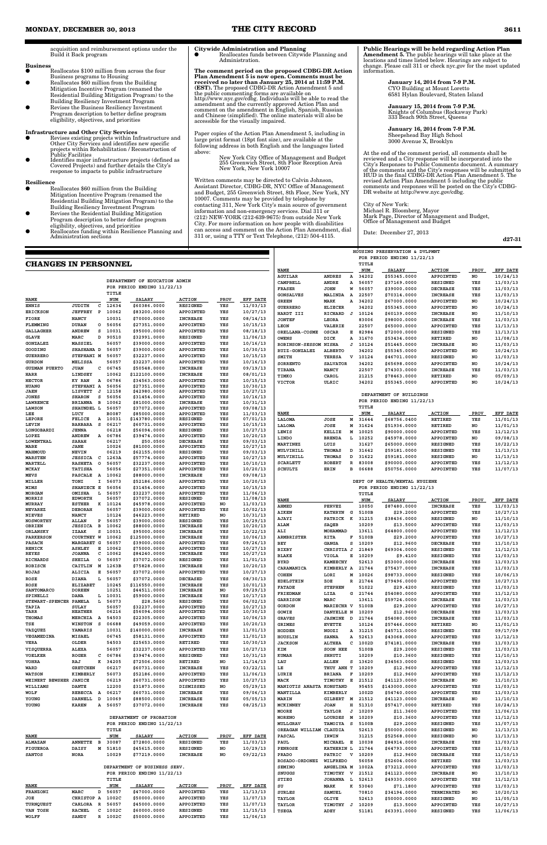acquisition and reimbursement options under the Build it Back program

## **Business**

Reallocates \$100 million from across the four Business programs to Housing

- Reallocates \$60 million from the Building Mitigation Incentive Program (renamed the Residential Building Mitigation Program) to the Building Resiliency Investment Program
- Revises the Business Resiliency Investment Program description to better define program eligibility, objectives, and priorities

## **Infrastructure and Other City Services**

- Reallocates \$60 million from the Building Mitigation Incentive Program (renamed the Residential Building Mitigation Program) to the Building Resiliency Investment Program
- Revises the Residential Building Mitigation Program description to better define program
- eligibility, objectives, and priorities Reallocates funding within Resilience Planning and Administration sections

**Citywide Administration and Planning**<br>● Reallocates funds between Citywide Planning and Administration.

- Revises existing projects within Infrastructure and Other City Services and identifies new specific projects within Rehabilitation / Reconstruction of Public Facilities ● Identifies major infrastructure projects (defined as
- Covered Projects) and further details the City's response to impacts to public infrastructure

#### **Resilience**

**The comment period on the proposed CDBG-DR Action Plan Amendment 5 is now open. Comments must be received no later than January 25, 2014 at 11:59 P.M. (EST).** The proposed CDBG-DR Action Amendment 5 and the public commenting forms are available on http://www.nyc.gov/cdbg. Individuals will be able to read the amendment and the currently approved Action Plan and comment on the amendment in English, Spanish, Russian and Chinese (simplified). The online materials will also be accessible for the visually impaired.

Paper copies of the Action Plan Amendment 5, including in large print format (18pt font size), are available at the following address in both English and the languages listed above:

New York City Office of Management and Budget 255 Greenwich Street, 8th Floor Reception Area New York, New York 10007

Written comments may be directed to Calvin Johnson, Assistant Director, CDBG-DR, NYC Office of Management and Budget, 255 Greenwich Street, 8th Floor, New York, NY 10007. Comments may be provided by telephone by contacting 311, New York City's main source of government information and non-emergency services. Dial 311 or (212) NEW-YORK (212-639-9675) from outside New York City. For more information on how people with disabilities can access and comment on the Action Plan Amendment, dial 311 or, using a TTY or Text Telephone, (212) 504-4115.

**Public Hearings will be held regarding Action Plan Amendment 5.** The public hearings will take place at the locations and times listed below. Hearings are subject to change. Please call 311 or check nyc.gov for the most updated information.

> **January 14, 2014 from 7-9 P.M.** CYO Building at Mount Loretto 6581 Hylan Boulevard, Staten Island

**January 15, 2014 from 7-9 P.M.** Knights of Columbus (Rockaway Park) 333 Beach 90th Street, Queens

**January 16, 2014 from 7-9 P.M.** Sheepshead Bay High School 3000 Avenue X, Brooklyn

At the end of the comment period, all comments shall be reviewed and a City response will be incorporated into the City's Responses to Public Comments document. A summary of the comments and the City's responses will be submitted to HUD in the final CDBG-DR Action Plan Amendment 5. The revised Action Plan Amendment 5 including the public comments and responses will be posted on the City's CDBG-DR website at http://www.nyc.gov/cdbg.

City of New York: Michael R. Bloomberg, Mayor Mark Page, Director of Management and Budget, Office of Management and Budget

Date: December 27, 2013

**d27-31**

## **CHANGES IN PERSONNEL**

| <b>CHANGES IN PERSONNEL</b>      |                                  |                |                     |                               |                                     |             |                      |                                        |                                | TITLE               |                               |                                    |             |                      |
|----------------------------------|----------------------------------|----------------|---------------------|-------------------------------|-------------------------------------|-------------|----------------------|----------------------------------------|--------------------------------|---------------------|-------------------------------|------------------------------------|-------------|----------------------|
|                                  |                                  |                |                     |                               |                                     |             |                      | <b>NAME</b>                            |                                | <b>NUM</b>          | <b>SALARY</b>                 | <b>ACTION</b>                      | <b>PROV</b> | EFF DATE             |
|                                  |                                  |                |                     | DEPARTMENT OF EDUCATION ADMIN |                                     |             |                      | AGUILAR                                | <b>ANDRES</b><br>Α             | 34202               | \$55345.0000                  | APPOINTED                          | NO          | 10/24/13             |
|                                  |                                  |                |                     | FOR PERIOD ENDING 11/22/13    |                                     |             |                      | CAMPBELL<br><b>FRASER</b>              | ANDRE<br>А<br><b>JOHN</b><br>W | 56057<br>56057      | \$37169.0000<br>\$39000.0000  | <b>RESIGNED</b><br><b>DECREASE</b> | YES<br>YES  | 11/03/13<br>11/03/13 |
|                                  |                                  |                | TITLE               |                               |                                     |             |                      | <b>GONSALVES</b>                       | MALINDA<br>A                   | 22507               | \$70314.0000                  | <b>INCREASE</b>                    | YES         | 11/03/13             |
| <b>NAME</b>                      |                                  |                | <b>NUM</b>          | <b>SALARY</b>                 | ACTION                              | <b>PROV</b> | EFF DATE             | <b>GREEN</b>                           | MARK<br>Α                      | 34202               | \$67000.0000                  | APPOINTED                          | NO          | 10/24/13             |
| <b>ENNIS</b>                     | JUDITH                           | c              | 12634               | \$60386.0000                  | <b>RESIGNED</b>                     | YES         | 11/03/13             | <b>GUERRERO</b>                        | <b>ELIECER</b>                 | 34202               | \$55345.0000                  | APPOINTED                          | NO          | 10/24/13             |
| <b>ERICKSON</b>                  | <b>JEFFREY P</b>                 |                | 10062               | \$83200.0000                  | <b>APPOINTED</b>                    | YES         | 10/27/13             | HARDT III                              | RICHARD<br>ਾ                   | 10124               | \$60139.0000                  | <b>INCREASE</b>                    | NO          | 11/10/13             |
| FIORE                            | <b>NANCY</b>                     |                | 10031               | \$70000.0000                  | <b>INCREASE</b>                     | YES         | 08/14/13             | <b>JONTEF</b>                          | LEORA                          | 83006               | \$98000.0000                  | <b>INCREASE</b>                    | YES         | 11/03/13             |
| FLEMMING                         | <b>DURAN</b>                     |                | 0 56056             | \$27351.0000                  | APPOINTED                           | YES         | 10/15/13             | LEON                                   | VALERIE                        | 22507               | \$65000.0000                  | APPOINTED                          | YES         | 11/13/13             |
| <b>GALLAGHER</b><br><b>GLAVE</b> | <b>ANDREW</b><br>MARC            | s<br>D         | 10031<br>90510      | \$95000.0000                  | APPOINTED<br><b>RESIGNED</b>        | YES<br>YES  | 08/18/13             | ORELLANA-COSME                         | OSCAR                          | E 82984             | \$72000.0000                  | <b>RESIGNED</b>                    | YES         | 11/13/13             |
| GONZALEZ                         | MASSIEL                          |                | 56057               | \$32991.0000<br>\$39000.0000  | APPOINTED                           | YES         | 11/06/13<br>10/16/13 | <b>OWENS</b>                           | DICK<br>А                      | 31670               | \$53434.0000                  | RETIRED                            | NO          | 11/08/13             |
| GOODING                          | SHASHANA D                       |                | 56057               | \$39000.0000                  | APPOINTED                           | YES         | 10/30/13             | ROBINSON-SESSOM NISHA<br>RUIZ-GONZALEZ | <b>ALBERTO</b>                 | $J$ 10124<br>34202  | \$51445.0000                  | <b>INCREASE</b><br>APPOINTED       | NO          | 11/03/13<br>10/24/13 |
| <b>GUERRERO</b>                  | STEPHANI M                       |                | 56057               | \$32237.0000                  | APPOINTED                           | YES         | 10/15/13             | SMITH                                  | TERESA<br>V                    | 10124               | \$55345.0000<br>\$46701.0000  | <b>RESIGNED</b>                    | NO<br>NO    | 11/03/13             |
| <b>GURDON</b>                    | MELISSA                          |                | 56057               | \$32237.0000                  | APPOINTED                           | YES         | 10/16/13             | SORRENTO                               | <b>SALVATOR</b>                | 34202               | \$65698.0000                  | APPOINTED                          | NO          | 10/24/13             |
| <b>GUZMAN PUERTO</b>             | <b>JUAN</b>                      | c              | 06745               | \$50548.0000                  | <b>INCREASE</b>                     | YES         | 09/19/13             | TIBANA                                 | <b>NANCY</b>                   | 22507               | \$74303.0000                  | <b>INCREASE</b>                    | YES         | 11/03/13             |
| HARR                             | LINDSEY                          |                | 10062               | \$122100.0000                 | <b>INCREASE</b>                     | YES         | 08/01/13             | TIMKO                                  | CAROL                          | 21215               | \$78463.0000                  | RETIRED                            | NO          | 05/09/13             |
| <b>HECTOR</b>                    | KY RAN                           | A              | 06786               | \$34563.0000                  | APPOINTED                           | YES         | 10/15/13             | <b>VICTOR</b>                          | ULRIC                          | 34202               | \$55345.0000                  | APPOINTED                          | NO          | 10/24/13             |
| <b>HUANG</b><br><b>JAEN</b>      | STEPHANI A<br>LISVETT            | J              | 56056<br>12158      | \$27351.0000<br>\$42980.0000  | APPOINTED<br><b>APPOINTED</b>       | YES<br>YES  | 10/30/13<br>10/27/13 |                                        |                                |                     |                               |                                    |             |                      |
| <b>JONES</b>                     | <b>SHARON</b>                    | s              | 56056               | \$31454.0000                  | APPOINTED                           | YES         | 10/16/13             |                                        |                                |                     | DEPARTMENT OF BUILDINGS       |                                    |             |                      |
| LAWRENCE                         | BRIANNA                          | $\overline{B}$ | 10062               | \$81000.0000                  | <b>INCREASE</b>                     | YES         | 10/31/13             |                                        |                                |                     | FOR PERIOD ENDING 11/22/13    |                                    |             |                      |
| <b>LAWSON</b>                    | SHAUNDEL L                       |                | 56057               | \$37072.0000                  | <b>APPOINTED</b>                    | YES         | 09/08/13             | <b>NAME</b>                            |                                | TITLE<br><b>NUM</b> | <b>SALARY</b>                 | <b>ACTION</b>                      | PROV        | EFF DATE             |
| LEE<br>LEPORE                    | LUCY<br><b>FELICE</b>            | A              | B0087<br>10031      | \$85000.0000<br>\$143780.0000 | APPOINTED<br><b>RESIGNED</b>        | YES<br>YES  | 11/03/13<br>07/01/13 | LALOMA                                 | М<br>JOSE                      | 31644               | \$68756.0400                  | RETIRED                            | YES         | 11/01/13             |
| LEVIN                            | <b>BARBARA</b>                   | s              | 06217               | \$60731.0000                  | <b>APPOINTED</b>                    | YES         | 10/15/13             | LALOMA                                 | JOSE<br>М                      | 31624               | \$51936.0000                  | RETIRED                            | NO          | 11/01/13             |
| LONGOBARDI                       | <b>JENNA</b>                     |                | 06218               | \$56094.0000                  | <b>RESIGNED</b>                     | YES         | 10/27/13             | LEWIS                                  | <b>KELLIE</b><br>м             | 10025               | \$90000.0000                  | APPOINTED                          | YES         | 11/12/13             |
| LOPEZ                            | <b>ANDREW</b>                    | $\mathbf{A}$   | 06786               | \$39474.0000                  | APPOINTED                           | YES         | 10/20/13             | LINDO                                  | <b>BRENDA</b><br>L             | 10252               | \$45978.0000                  | APPOINTED                          | NO          | 09/08/13             |
| LOWENTHAL<br>MABE                | <b>SARAH</b><br><b>JANE</b>      |                | 06217<br>10026      | \$50.0500<br>\$81000.0000     | <b>DECREASE</b><br>APPOINTED        | YES<br>YES  | 09/03/13<br>10/27/13 | MARTINEZ                               | LUIS                           | 31627               | \$65000.0000                  | <b>RESIGNED</b>                    | YES         | 10/22/13             |
| MAHMOUD                          | <b>NEVIN</b>                     |                | 06219               | \$62155.0000                  | <b>RESIGNED</b>                     | YES         | 09/03/13             | MULVIHILL                              | THOMAS<br>D                    | 31642               | \$59181.0000                  | RESIGNED                           | YES         | 11/13/13             |
| <b>MARSTEN</b>                   | <b>JESSICA</b>                   | C              | 1263A               | \$57774.0000                  | <b>APPOINTED</b>                    | YES         | 10/27/13             | MULVIHILL                              | THOMAS<br>D                    | 31622               | \$59181.0000                  | <b>RESIGNED</b>                    | NO          | 11/13/13             |
| MARTELL                          | <b>RASHETA</b>                   | $\circ$        | 56057               | \$32237.0000                  | APPOINTED                           | YES         | 10/10/13             | <b>SCARLETT</b>                        | <b>ROBERT</b><br>${\bf R}$     | 83008               | \$90000.0000                  | APPOINTED                          | YES         | 11/12/13             |
| MCKAY<br><b>MEVS</b>             | <b>TATISHA</b><br><b>PASCALE</b> | A              | 56056<br>10062      | \$27351.0000<br>\$88000.0000  | <b>APPOINTED</b><br><b>INCREASE</b> | YES<br>YES  | 10/20/13<br>09/08/13 | SCHULTZ                                | ERIN                           | B 06688             | \$50756.0000                  | APPOINTED                          | YES         | 11/07/13             |
| MILLER                           | TONI                             |                | I 56073             | \$52186.0000                  | APPOINTED                           | YES         | 10/20/13             |                                        |                                |                     | DEPT OF HEALTH/MENTAL HYGIENE |                                    |             |                      |
| <b>MIMS</b>                      | SHANIECE E                       |                | 56056               | \$31454.0000                  | APPOINTED                           | YES         | 10/15/13             |                                        |                                |                     | FOR PERIOD ENDING 11/22/13    |                                    |             |                      |
| <b>MORGAN</b>                    | <b>OMISHA</b>                    | L              | 56057               | \$32237.0000                  | <b>APPOINTED</b>                    | YES         | 11/06/13             |                                        |                                | TITLE               |                               |                                    |             |                      |
| MORRIS                           | <b>EDWORTH</b>                   |                | 56057               | \$37072.0000                  | <b>RESIGNED</b>                     | YES         | 11/08/13             | <b>NAME</b>                            |                                | <b>NUM</b>          | SALARY                        | <b>ACTION</b>                      | <b>PROV</b> | EFF DATE             |
| MURRAY<br><b>NEVAREZ</b>         | <b>ESTHER</b><br><b>DEBORAH</b>  |                | K 10124<br>56057    | \$45978.0000<br>\$39000.0000  | APPOINTED<br><b>APPOINTED</b>       | NO<br>YES   | 11/03/13<br>10/02/13 | AHMED                                  | <b>PERVEZ</b>                  | 10050               | \$87480.0000                  | <b>INCREASE</b>                    | YES         | 11/03/13             |
| <b>NIEVES</b>                    | <b>NANCY</b>                     |                | 10124               | \$46223.0000                  | RETIRED                             | NO          | 10/31/13             | <b>AIKEN</b>                           | KATHRYN G                      | 5100B               | \$29.2000                     | APPOINTED                          | YES         | 10/27/13             |
| NOSWORTHY                        | ALLAN                            | Р              | 56057               | \$39000.0000                  | <b>RESIGNED</b>                     | YES         | 10/29/13             | AJAYI                                  | PATRICK K                      | 31215               | \$38436.0000                  | <b>RESIGNED</b>                    | NO          | 11/10/13             |
| OBRIEN                           | <b>JESSICA</b>                   | $\mathbf B$    | 10062               | \$88000.0000                  | <b>INCREASE</b>                     | YES         | 10/20/13             | ALAM                                   | <b>SAQEB</b>                   | 10209               | \$13.5000                     | APPOINTED                          | YES         | 11/03/13             |
| ORLANSKY<br><b>PARKERSON</b>     | IZAAK<br>COURTNEY W              | s              | 10031<br>10062      | \$95000.0000<br>\$125000.0000 | <b>INCREASE</b><br><b>INCREASE</b>  | YES<br>YES  | 10/22/13<br>10/06/13 | ALI<br><b>ARMBRISTER</b>               | MOHAMMAD<br><b>RITA</b><br>F   | 13611<br>5100B      | \$64800.0000<br>\$29.2000     | APPOINTED                          | YES<br>YES  | 11/12/13<br>10/27/13 |
| <b>PASACH</b>                    | MARGARET G                       |                | 56057               | \$39000.0000                  | <b>APPOINTED</b>                    | YES         | 09/26/13             | BEY                                    | <b>GANGA</b><br>s              | 10209               | \$12.9600                     | APPOINTED<br><b>DECREASE</b>       | YES         | 11/10/13             |
| RENICK                           | <b>ASHLEY</b>                    | в.             | 10062               | \$75000.0000                  | APPOINTED                           | YES         | 10/27/13             | <b>BIXBY</b>                           | CHRISTIA J                     | 21849               | \$69304.0000                  | RESIGNED                           | YES         | 11/12/13             |
| <b>REYES</b>                     | <b>JOANNA</b>                    | с              | 10062               | \$84240.0000                  | <b>INCREASE</b>                     | YES         | 10/27/13             | <b>BLAKE</b>                           | <b>VIOLA</b><br>Е              | 10209               | \$9.4100                      | RESIGNED                           | YES         | 11/03/13             |
| RICHARDS                         | SHEILA                           | o              | 56057               | \$37072.0000                  | <b>RESIGNED</b>                     | YES         | 11/01/13             | <b>BYRD</b>                            | <b>KAMEECHY</b>                | 52613               | \$53000.0000                  | <b>INCREASE</b>                    | YES         | 11/03/13             |
| ROBISCH                          | CAITLIN                          |                | M 1263B             | \$75828.0000                  | <b>INCREASE</b>                     | YES         | 10/20/13             | CARAMANICA                             | KIMBERLY A                     | 21744               | \$75437.0000                  | <b>INCREASE</b>                    | YES         | 11/03/13             |
| <b>ROJAS</b><br><b>ROSE</b>      | <b>ALICIA</b><br>DIANA           | Е              | 56057<br>L 56057    | \$37072.0000<br>\$37072.0000  | APPOINTED<br><b>DECEASED</b>        | YES<br>YES  | 10/27/13<br>08/30/13 | <b>COHEN</b>                           | LORI<br>М                      | 10026               | \$98733.0000                  | <b>RESIGNED</b>                    | YES         | 10/06/13             |
| <b>ROSE</b>                      | <b>ELIZABET</b>                  |                | 10245               | \$116550.0000                 | <b>INCREASE</b>                     | YES         | 10/01/13             | <b>EDELSTEIN</b>                       | ZOE                            | R 21744             | \$79496.0000                  | APPOINTED                          | YES         | 10/27/13             |
| SANTOMARCO                       | <b>DOREEN</b>                    |                | 10251               | \$44511.0000                  | <b>INCREASE</b>                     | NO          | 09/29/13             | <b>FATADE</b>                          | <b>STEPHEN</b>                 | 51022               | \$29.4200                     | RESIGNED                           | YES         | 11/03/13             |
| SPINELLI                         | <b>DANA</b>                      |                | L 10031             | \$59000.0000                  | <b>INCREASE</b>                     | YES         | 10/17/13             | FRIEDMAN<br>GARRISON                   | LIZA<br>MARC                   | G 21744<br>13611    | \$54080.0000<br>\$59724.0000  | APPOINTED<br><b>INCREASE</b>       | YES<br>YES  | 11/12/13<br>11/03/13 |
| STEWART-SPENCER PAMELA           |                                  |                | L 56073             | \$28.5600                     | <b>RESIGNED</b>                     | YES         | 06/02/13             | <b>GORDON</b>                          | MARIECHR V                     | 5100B               | \$29.2000                     | APPOINTED                          | YES         | 10/27/13             |
| TAPIA<br>TARR                    | <b>SULAY</b><br><b>HEATHER</b>   |                | 56057<br>06216      | \$32237.0000<br>\$56094.0000  | <b>APPOINTED</b><br>APPOINTED       | YES<br>YES  | 10/27/13<br>10/30/13 | GOWIE                                  | DANYELLE N                     | 10209               | \$12.9600                     | <b>DECREASE</b>                    | YES         | 11/03/13             |
| THOMAS                           | MERCHIA A                        |                | 54503               | \$22305.0000                  | APPOINTED                           | YES         | 10/06/13             | <b>GRAVES</b>                          | <b>JASMINE</b> D               | 21744               | \$54080.0000                  | <b>INCREASE</b>                    | YES         | 11/03/13             |
| TSE                              | WINSTON                          | <b>S</b>       | 06688               | \$49059.0000                  | APPOINTED                           | YES         | 10/20/13             | <b>GRIMES</b>                          | <b>EVETTE</b>                  | 10124               | \$57446.0000                  | RETIRED                            | NO          | 11/01/13             |
| VAZQUEZ                          | YAMARIS                          |                | 10031               | \$140000.0000                 | <b>INCREASE</b>                     | YES         | 11/01/13             | HODDER                                 | NGOZI                          | A 31215             | \$45711.0000                  | RESIGNED                           | YES         | 09/17/09             |
| VEGAMEDINA                       | MISAEL                           |                | 06745               | \$58131.0000                  | APPOINTED                           | YES         | 11/01/13             | HOUSLIN                                | <b>SANNA</b><br>A              | 52613               | \$43068.0000                  | APPOINTED                          | YES         | 11/12/13             |
| VERA                             | OLDER                            |                | 54503               | \$25653.0000                  | <b>RETIRED</b>                      | YES         | 10/30/13             | <b>JACKSON</b>                         | <b>ALTHEA</b><br>c             | 1002D               | \$74181.0000                  | <b>INCREASE</b>                    | YES         | 11/03/13             |
| VISQUERRA<br><b>VOELKER</b>      | ALEXA<br><b>ROGER</b>            | c              | 56057<br>06786      | \$32237.0000<br>\$39474.0000  | APPOINTED<br><b>RESIGNED</b>        | YES<br>YES  | 10/27/13<br>10/31/13 | KIM<br><b>KUMAR</b>                    | SOON HEE                       | 5100B<br>10209      | \$29.2000                     | RESIGNED                           | YES         | 11/03/13<br>11/10/13 |
| <b>VOHRA</b>                     | RAJ                              |                | K 34205             | \$72506.0000                  | RETIRED                             | NO          | 11/14/13             | LAU                                    | SHRUTI<br><b>ALLEN</b><br>s    | 13620               | \$10.3600<br>\$34563.0000     | RESIGNED<br>RESIGNED               | YES<br>YES  | 11/03/13             |
| WARD                             | <b>GRETCHEN</b>                  |                | 06217               | \$60731.0000                  | <b>INCREASE</b>                     | YES         | 03/22/11             | LE                                     | THUY ANH T                     | 10209               | \$12.9600                     | APPOINTED                          | YES         | 11/12/13             |
| WATSON                           | KIMBERLY                         |                | 56073               | \$52186.0000                  | APPOINTED                           | YES         | 11/06/13             | LURIE                                  | BRIANA<br>$\mathbf{F}$         | 10209               | \$12.9600                     | APPOINTED                          | YES         | 11/12/13             |
| WEINERT BEWSHER JANICE           |                                  |                | 06219               | \$60731.0000                  | APPOINTED                           | YES         | 10/27/13             | MACK                                   | TIMOTHY E                      | 21512               | \$41123.0000                  | <b>INCREASE</b>                    | NO          | 11/10/13             |
| WILLIAMS                         | <b>DANTE</b>                     |                | 12200               | \$31873.0000                  | DISMISSED                           | NO          | 05/29/13             | MANIOTIS ANASTA KONSTAND               |                                | 95455               | \$143000.0000                 | APPOINTED                          | YES         | 11/03/13             |
| WOLF                             | REBECCA A                        |                | 06217               | \$60731.0000                  | <b>INCREASE</b>                     | YES         | 09/06/13             | MANTILLA                               | KIMBERLY                       | 1002D               | \$54740.0000                  | APPOINTED                          | YES         | 11/03/13             |
| YOUNG                            | DARNELL                          | $\mathbf{D}$   | 10069               | \$88500.0000                  | <b>INCREASE</b>                     | YES         | 05/05/13             | MARIN                                  | GILBERT M                      | 21512               | \$41123.0000                  | <b>INCREASE</b>                    | NO          | 11/10/13             |
| YOUNG                            | <b>KAREN</b>                     |                | A 56057             | \$37072.0000                  | <b>INCREASE</b>                     | YES         | 08/25/13             | MCKINNEY                               | <b>JOAN</b>                    | H 51310             | \$57417.0000                  | RETIRED                            | YES         | 10/24/13             |
|                                  |                                  |                |                     | DEPARTMENT OF PROBATION       |                                     |             |                      | MOORE                                  | TAYLOR<br>J                    | 10209               | \$11.3600                     | APPOINTED                          | YES         | 11/06/13             |
|                                  |                                  |                |                     | FOR PERIOD ENDING 11/22/13    |                                     |             |                      | <b>MORENO</b><br>MULLGRAV              | LOURDES M<br>TAMOIYA S         | 10209<br>5100B      | \$10.3600<br>\$29.2000        | APPOINTED<br>RESIGNED              | YES<br>YES  | 11/12/13<br>11/07/13 |
|                                  |                                  |                | TITLE               |                               |                                     |             |                      | OREAGAN WILLIAM CLAUDIA                |                                | 52613               | \$50000.0000                  | RESIGNED                           | NO          | 11/13/13             |
| <b>NAME</b>                      |                                  |                | NUM                 | SALARY                        | ACTION                              | PROV        | EFF DATE             | PASCAL                                 | IRWIN                          | 31215               | \$52568.0000                  | RESIGNED                           | NO          | 11/13/13             |
| ALMAZAN                          | <b>ANNETTE</b>                   | $\mathbf{B}$   | 30087               | \$72800.0000                  | RESIGNED                            | YES         | 11/03/13             | PAUL                                   | MICHAEL E 10038                |                     | \$84914.0000                  | <b>INCREASE</b>                    | YES         | 11/03/13             |
| <b>FIGUEROA</b>                  | DAISY                            | M              | 51810               | \$45615.0000                  | <b>RESIGNED</b>                     | NO          | 10/29/13             | <b>PENROSE</b>                         | KATHERIN L                     | 21744               | \$64793.0000                  | APPOINTED                          | YES         | 11/03/13             |
| <b>SANTOS</b>                    | <b>NORA</b>                      |                | 10029               | \$77219.0000                  | <b>INCREASE</b>                     | NO          | 09/22/13             | PRADO                                  | PATRIC                         | V 10209             | \$12.9600                     | <b>DECREASE</b>                    | YES         | 11/10/13             |
|                                  |                                  |                |                     |                               |                                     |             |                      | ROSADO-ORDONEZ                         | WILFREDO                       | 56058               | \$52604.0000                  | RETIRED                            | YES         | 11/03/13             |
|                                  |                                  |                |                     | DEPARTMENT OF BUSINESS SERV.  |                                     |             |                      | <b>SEMINO</b>                          | ANGELINA M 1002A               |                     | \$73212.0000                  | APPOINTED                          | YES         | 11/03/13             |
|                                  |                                  |                |                     | FOR PERIOD ENDING 11/22/13    |                                     |             |                      | <b>SNUGGS</b>                          | TIMOTHY V                      | 21512               | \$41123.0000                  | <b>INCREASE</b>                    | NO          | 11/10/13             |
|                                  |                                  |                | TITLE               |                               |                                     |             | EFF DATE             | STIEG                                  | JOHANNA L                      | 52613               | \$49330.0000                  | APPOINTED                          | YES         | 11/12/13             |
| <b>NAME</b><br>FRANZONI          | MARC                             | D              | <b>NUM</b><br>56057 | SALARY<br>\$47000.0000        | ACTION<br>APPOINTED                 | PROV<br>YES | 11/13/13             | SU<br><b>SURLES</b>                    | MARK<br><b>SAMUEL</b>          | K 53040<br>70810    | \$71.1800<br>\$34194.0000     | APPOINTED<br>TERMINATED            | YES<br>NO   | 11/03/13<br>10/20/13 |
| JOE                              | CHRISTOP A                       |                | 1002C               | \$50000.0000                  | APPOINTED                           | YES         | 11/07/13             | TAYLOR                                 | OLIVE                          | 52613               | \$50000.0000                  | RESIGNED                           | NO          | 11/05/13             |
| TURNQUEST                        | CARLORA R 56057                  |                |                     | \$45000.0000                  | APPOINTED                           | YES         | 11/07/13             | TAYLOR                                 | TIMOTHY J                      | 10209               | \$13.5000                     | APPOINTED                          | YES         | 10/27/13             |
| VAN TOSH                         | <b>RACHEL</b>                    |                | $C$ 1002 $C$        | \$60000.0000                  | RESIGNED                            | YES         | 11/15/13             | <b>TSEGA</b>                           | ADEY                           | 51181               | \$63391.0000                  | RESIGNED                           | YES         | 11/06/13             |
| WOLFF                            | SANDY                            |                | R 1002C             | \$50000.0000                  | APPOINTED                           | YES         | 11/06/13             |                                        |                                |                     |                               |                                    |             |                      |

**HOUSING PRESERVATION & DVLPMNT FOR PERIOD ENDING 11/22/13**